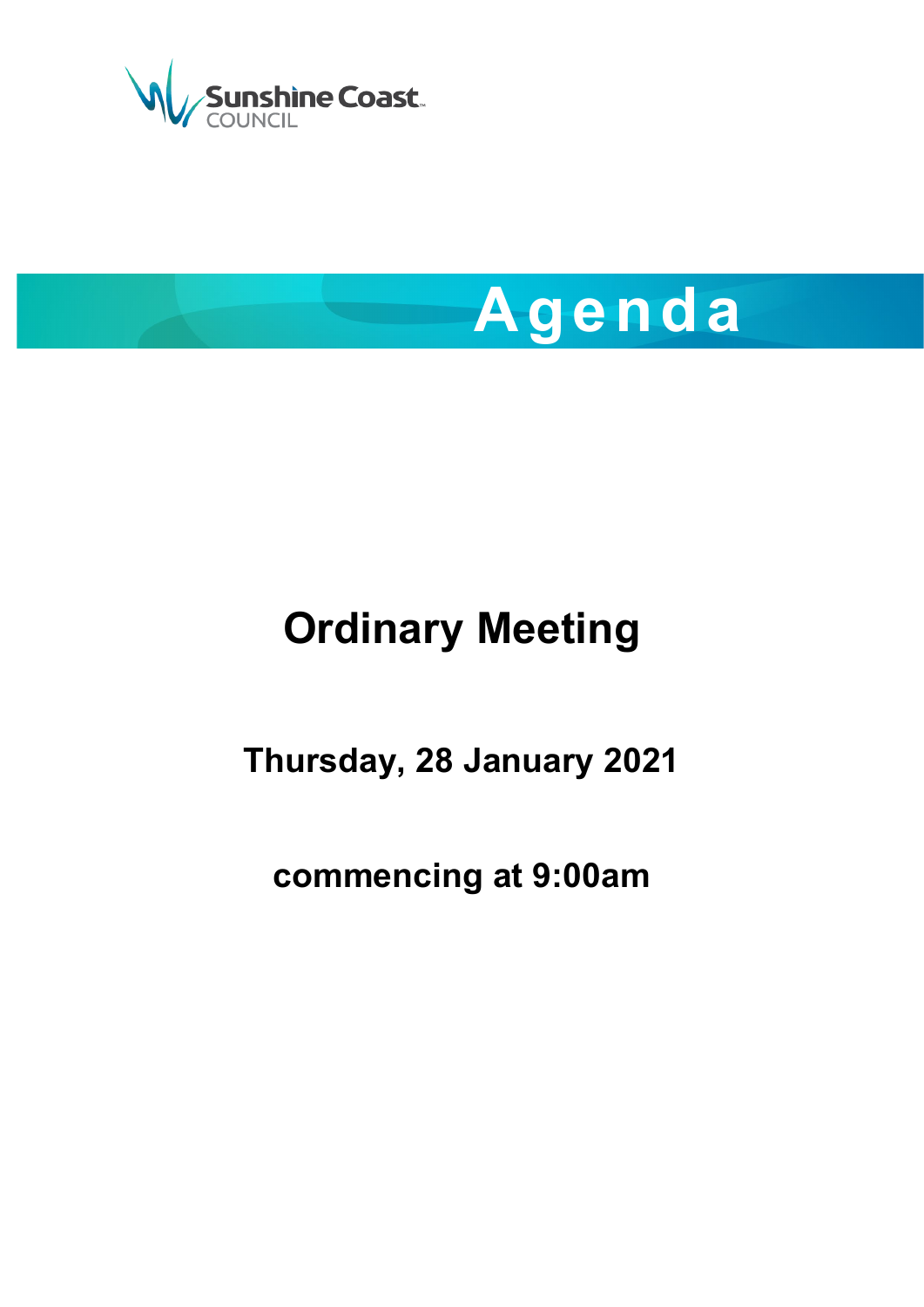



# **Ordinary Meeting**

**Thursday, 28 January 2021**

**commencing at 9:00am**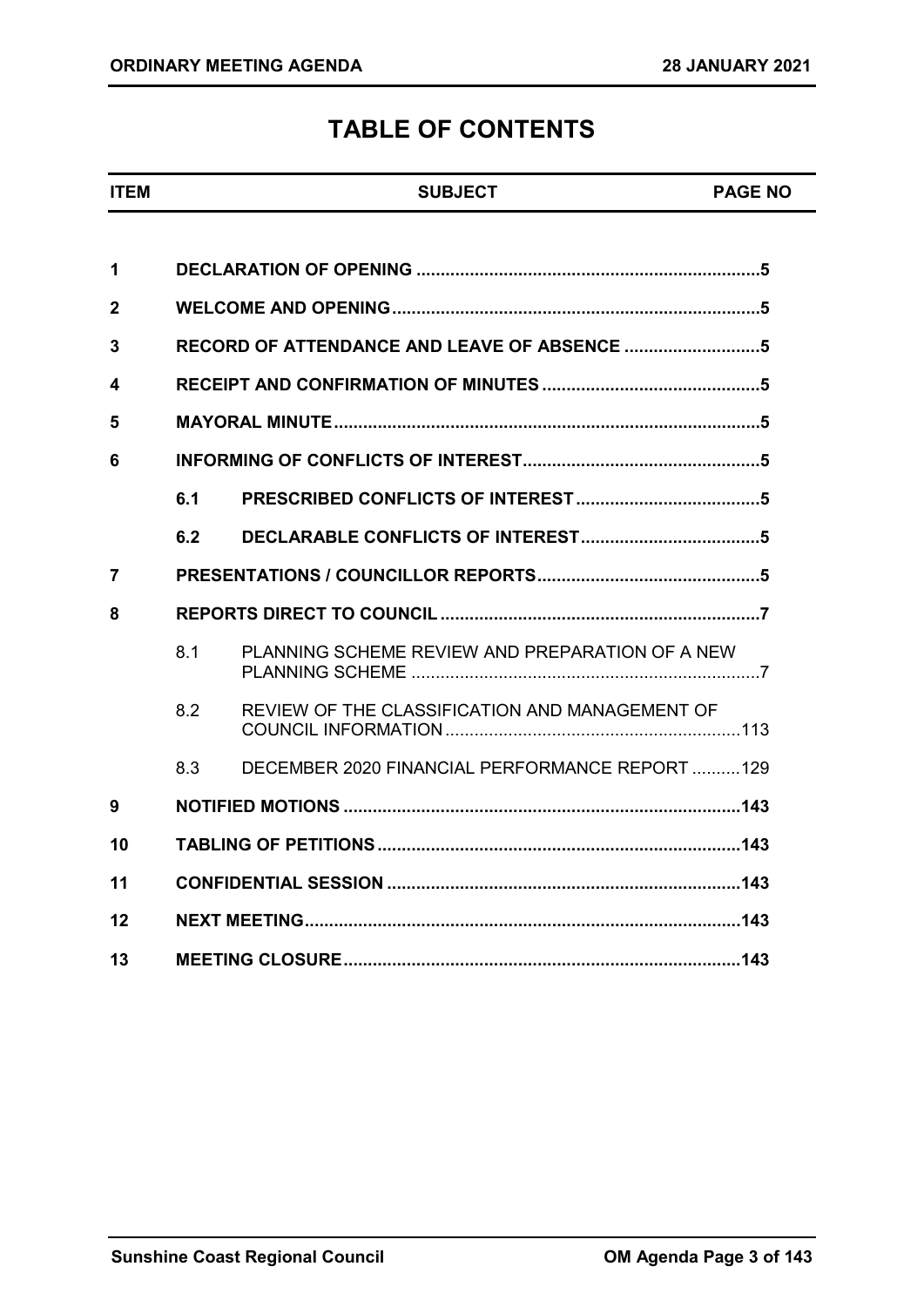## **TABLE OF CONTENTS**

# **ITEM SUBJECT PAGE NO 1 DECLARATION OF OPENING [.......................................................................5](#page-4-0) 2 [WELCOME AND OPENING............................................................................5](#page-4-1) 3 [RECORD OF ATTENDANCE](#page-4-2) AND LEAVE OF ABSENCE ............................5 4 [RECEIPT AND CONFIRMATION OF MINUTES](#page-4-3) .............................................5 5 [MAYORAL MINUTE........................................................................................5](#page-4-4) 6 [INFORMING OF CONFLICTS OF INTEREST.................................................5](#page-4-5) 6.1 PRESCRIBED CONFLICTS [OF INTEREST......................................5](#page-4-6) 6.2 DECLARABLE CONFLICTS [OF INTEREST.....................................5](#page-4-7) 7 [PRESENTATIONS / COUNCILLOR REPORTS..............................................5](#page-4-8) 8 [REPORTS DIRECT TO COUNCIL..................................................................7](#page-6-0)** 8.1 [PLANNING SCHEME REVIEW AND PREPARATION OF A NEW](#page-6-1)  PLANNING SCHEME [........................................................................7](#page-6-1) 8.2 [REVIEW OF THE CLASSIFICATION AND MANAGEMENT OF](#page-20-0)  [COUNCIL INFORMATION.............................................................113](#page-20-0) 8.3 [DECEMBER 2020 FINANCIAL PERFORMANCE REPORT](#page-28-0) ..........129 **9 NOTIFIED MOTIONS [..................................................................................143](#page-32-0) 10 [TABLING OF PETITIONS...........................................................................143](#page-32-1) 11 CONFIDENTIAL SESSION [.........................................................................143](#page-32-2) 12 [NEXT MEETING..........................................................................................143](#page-32-3) 13 [MEETING CLOSURE..................................................................................143](#page-32-4)**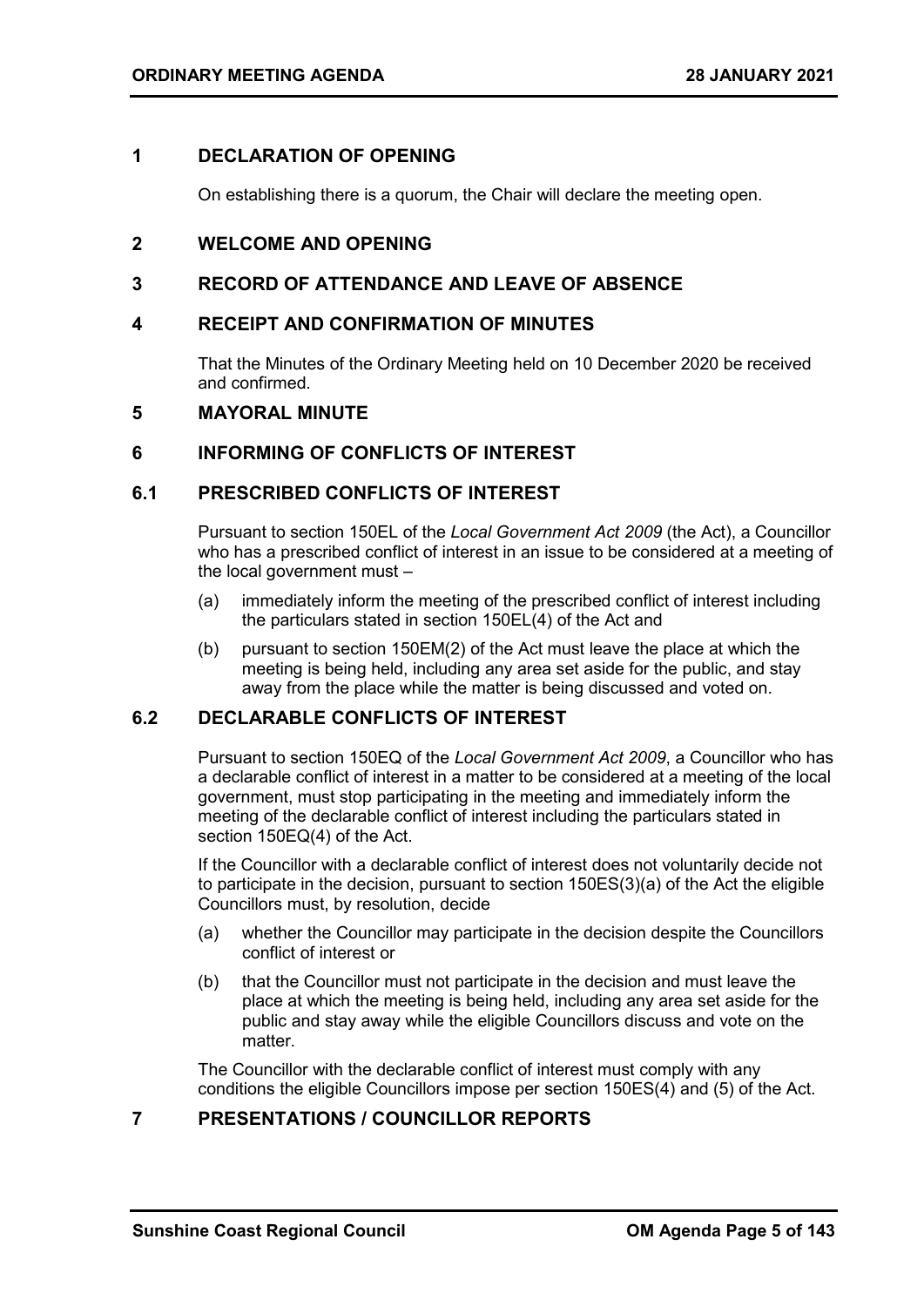#### <span id="page-4-0"></span>**1 DECLARATION OF OPENING**

On establishing there is a quorum, the Chair will declare the meeting open.

#### <span id="page-4-1"></span>**2 WELCOME AND OPENING**

#### <span id="page-4-2"></span>**3 RECORD OF ATTENDANCE AND LEAVE OF ABSENCE**

#### <span id="page-4-3"></span>**4 RECEIPT AND CONFIRMATION OF MINUTES**

That the Minutes of the Ordinary Meeting held on 10 December 2020 be received and confirmed.

#### <span id="page-4-4"></span>**5 MAYORAL MINUTE**

#### <span id="page-4-5"></span>**6 INFORMING OF CONFLICTS OF INTEREST**

#### <span id="page-4-6"></span>**6.1 PRESCRIBED CONFLICTS OF INTEREST**

Pursuant to section 150EL of the *Local Government Act 2009* (the Act), a Councillor who has a prescribed conflict of interest in an issue to be considered at a meeting of the local government must –

- (a) immediately inform the meeting of the prescribed conflict of interest including the particulars stated in section 150EL(4) of the Act and
- (b) pursuant to section 150EM(2) of the Act must leave the place at which the meeting is being held, including any area set aside for the public, and stay away from the place while the matter is being discussed and voted on.

#### <span id="page-4-7"></span>**6.2 DECLARABLE CONFLICTS OF INTEREST**

Pursuant to section 150EQ of the *Local Government Act 2009*, a Councillor who has a declarable conflict of interest in a matter to be considered at a meeting of the local government, must stop participating in the meeting and immediately inform the meeting of the declarable conflict of interest including the particulars stated in section 150EQ(4) of the Act.

If the Councillor with a declarable conflict of interest does not voluntarily decide not to participate in the decision, pursuant to section 150ES(3)(a) of the Act the eligible Councillors must, by resolution, decide

- (a) whether the Councillor may participate in the decision despite the Councillors conflict of interest or
- (b) that the Councillor must not participate in the decision and must leave the place at which the meeting is being held, including any area set aside for the public and stay away while the eligible Councillors discuss and vote on the matter.

The Councillor with the declarable conflict of interest must comply with any conditions the eligible Councillors impose per section 150ES(4) and (5) of the Act.

#### <span id="page-4-8"></span>**7 PRESENTATIONS / COUNCILLOR REPORTS**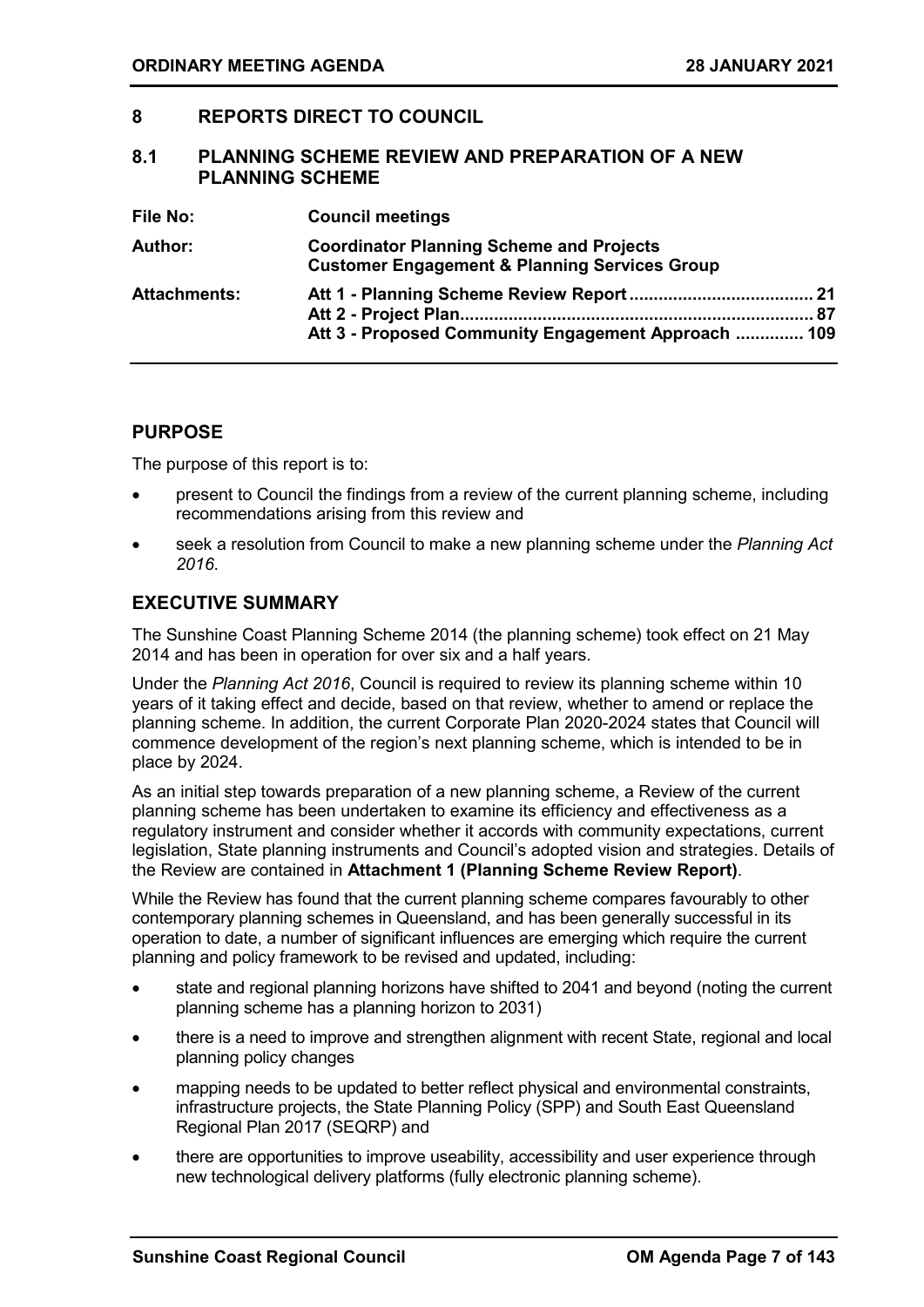#### <span id="page-6-0"></span>**8 REPORTS DIRECT TO COUNCIL**

#### <span id="page-6-1"></span>**8.1 PLANNING SCHEME REVIEW AND PREPARATION OF A NEW PLANNING SCHEME**

| File No:            | <b>Council meetings</b>                                                                                     |
|---------------------|-------------------------------------------------------------------------------------------------------------|
| <b>Author:</b>      | <b>Coordinator Planning Scheme and Projects</b><br><b>Customer Engagement &amp; Planning Services Group</b> |
| <b>Attachments:</b> | Att 3 - Proposed Community Engagement Approach  109                                                         |

#### **PURPOSE**

The purpose of this report is to:

- present to Council the findings from a review of the current planning scheme, including recommendations arising from this review and
- seek a resolution from Council to make a new planning scheme under the *Planning Act 2016*.

#### **EXECUTIVE SUMMARY**

The Sunshine Coast Planning Scheme 2014 (the planning scheme) took effect on 21 May 2014 and has been in operation for over six and a half years.

Under the *Planning Act 2016*, Council is required to review its planning scheme within 10 years of it taking effect and decide, based on that review, whether to amend or replace the planning scheme. In addition, the current Corporate Plan 2020-2024 states that Council will commence development of the region's next planning scheme, which is intended to be in place by 2024.

As an initial step towards preparation of a new planning scheme, a Review of the current planning scheme has been undertaken to examine its efficiency and effectiveness as a regulatory instrument and consider whether it accords with community expectations, current legislation, State planning instruments and Council's adopted vision and strategies. Details of the Review are contained in **Attachment 1 (Planning Scheme Review Report)**.

While the Review has found that the current planning scheme compares favourably to other contemporary planning schemes in Queensland, and has been generally successful in its operation to date, a number of significant influences are emerging which require the current planning and policy framework to be revised and updated, including:

- state and regional planning horizons have shifted to 2041 and beyond (noting the current planning scheme has a planning horizon to 2031)
- there is a need to improve and strengthen alignment with recent State, regional and local planning policy changes
- mapping needs to be updated to better reflect physical and environmental constraints, infrastructure projects, the State Planning Policy (SPP) and South East Queensland Regional Plan 2017 (SEQRP) and
- there are opportunities to improve useability, accessibility and user experience through new technological delivery platforms (fully electronic planning scheme).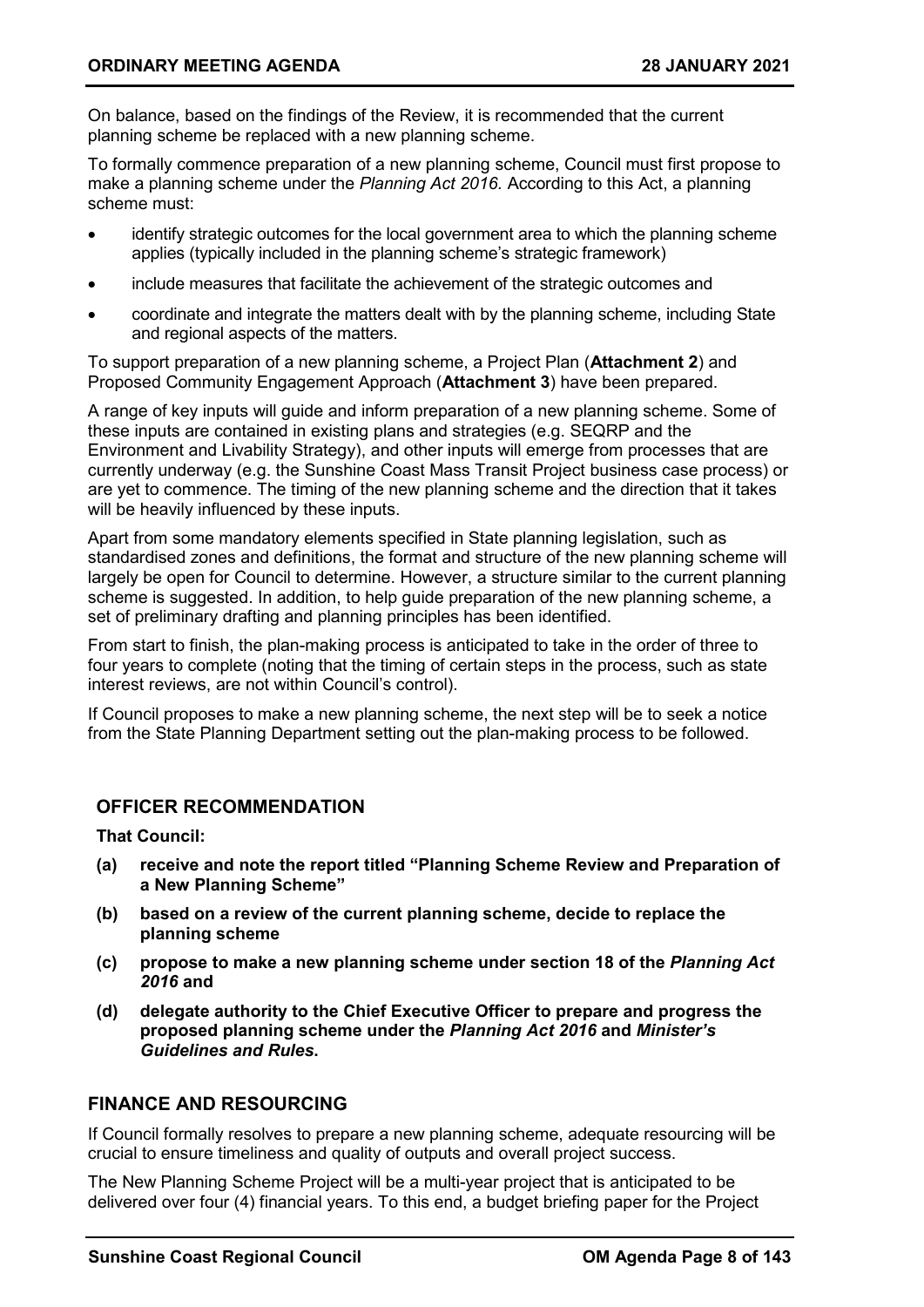On balance, based on the findings of the Review, it is recommended that the current planning scheme be replaced with a new planning scheme.

To formally commence preparation of a new planning scheme, Council must first propose to make a planning scheme under the *Planning Act 2016.* According to this Act, a planning scheme must:

- identify strategic outcomes for the local government area to which the planning scheme applies (typically included in the planning scheme's strategic framework)
- include measures that facilitate the achievement of the strategic outcomes and
- coordinate and integrate the matters dealt with by the planning scheme, including State and regional aspects of the matters.

To support preparation of a new planning scheme, a Project Plan (**Attachment 2**) and Proposed Community Engagement Approach (**Attachment 3**) have been prepared.

A range of key inputs will guide and inform preparation of a new planning scheme. Some of these inputs are contained in existing plans and strategies (e.g. SEQRP and the Environment and Livability Strategy), and other inputs will emerge from processes that are currently underway (e.g. the Sunshine Coast Mass Transit Project business case process) or are yet to commence. The timing of the new planning scheme and the direction that it takes will be heavily influenced by these inputs.

Apart from some mandatory elements specified in State planning legislation, such as standardised zones and definitions, the format and structure of the new planning scheme will largely be open for Council to determine. However, a structure similar to the current planning scheme is suggested. In addition, to help guide preparation of the new planning scheme, a set of preliminary drafting and planning principles has been identified.

From start to finish, the plan-making process is anticipated to take in the order of three to four years to complete (noting that the timing of certain steps in the process, such as state interest reviews, are not within Council's control).

If Council proposes to make a new planning scheme, the next step will be to seek a notice from the State Planning Department setting out the plan-making process to be followed.

#### **OFFICER RECOMMENDATION**

**That Council:**

- **(a) receive and note the report titled "Planning Scheme Review and Preparation of a New Planning Scheme"**
- **(b) based on a review of the current planning scheme, decide to replace the planning scheme**
- **(c) propose to make a new planning scheme under section 18 of the** *Planning Act 2016* **and**
- **(d) delegate authority to the Chief Executive Officer to prepare and progress the proposed planning scheme under the** *Planning Act 2016* **and** *Minister's Guidelines and Rules***.**

#### **FINANCE AND RESOURCING**

If Council formally resolves to prepare a new planning scheme, adequate resourcing will be crucial to ensure timeliness and quality of outputs and overall project success.

The New Planning Scheme Project will be a multi-year project that is anticipated to be delivered over four (4) financial years. To this end, a budget briefing paper for the Project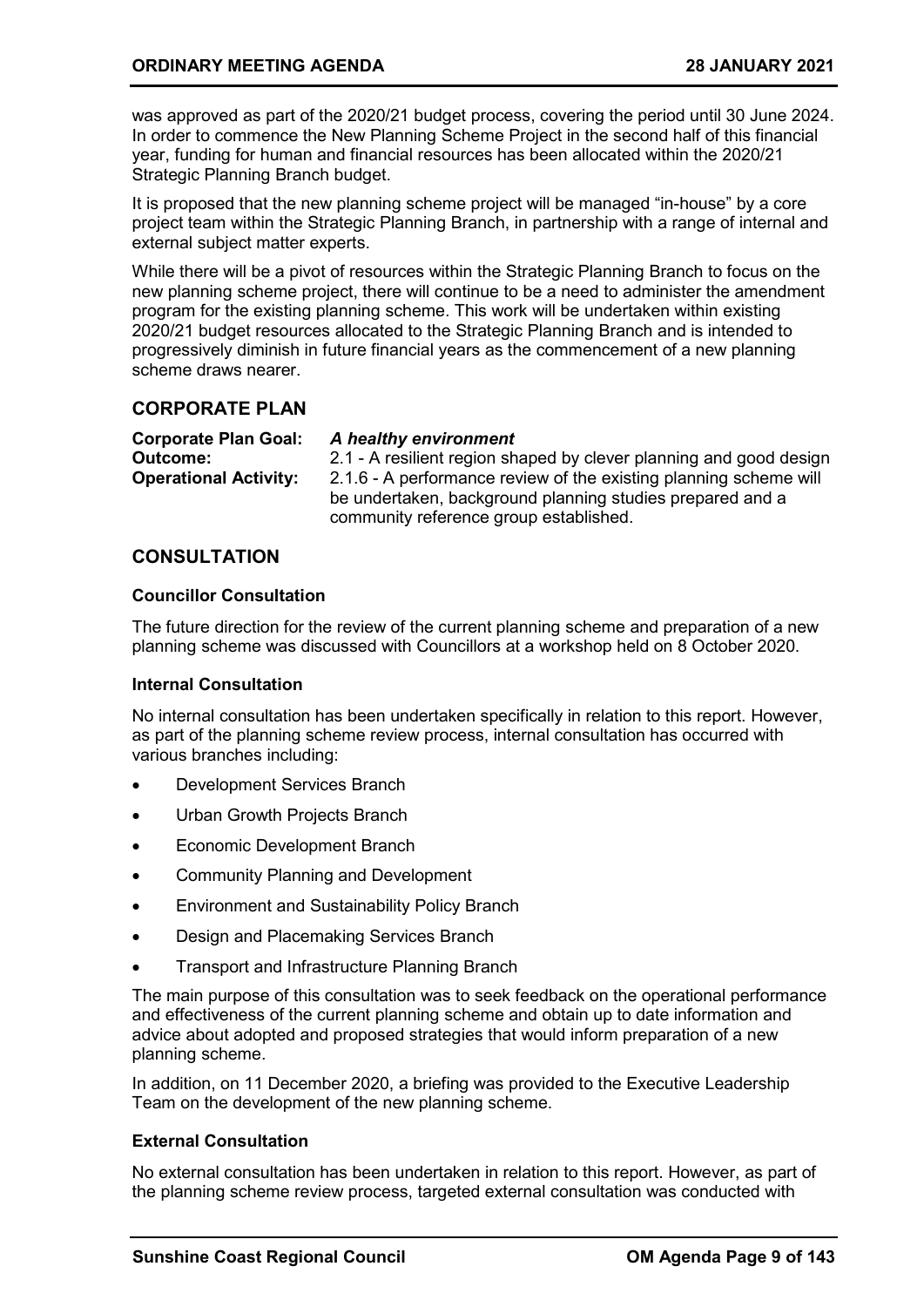was approved as part of the 2020/21 budget process, covering the period until 30 June 2024. In order to commence the New Planning Scheme Project in the second half of this financial year, funding for human and financial resources has been allocated within the 2020/21 Strategic Planning Branch budget.

It is proposed that the new planning scheme project will be managed "in-house" by a core project team within the Strategic Planning Branch, in partnership with a range of internal and external subject matter experts.

While there will be a pivot of resources within the Strategic Planning Branch to focus on the new planning scheme project, there will continue to be a need to administer the amendment program for the existing planning scheme. This work will be undertaken within existing 2020/21 budget resources allocated to the Strategic Planning Branch and is intended to progressively diminish in future financial years as the commencement of a new planning scheme draws nearer.

#### **CORPORATE PLAN**

**Corporate Plan Goal:** *A healthy environment*

**Outcome:** 2.1 - A resilient region shaped by clever planning and good design **Operational Activity:** 2.1.6 - A performance review of the existing planning scheme will be undertaken, background planning studies prepared and a community reference group established.

#### **CONSULTATION**

#### **Councillor Consultation**

The future direction for the review of the current planning scheme and preparation of a new planning scheme was discussed with Councillors at a workshop held on 8 October 2020.

#### **Internal Consultation**

No internal consultation has been undertaken specifically in relation to this report. However, as part of the planning scheme review process, internal consultation has occurred with various branches including:

- Development Services Branch
- Urban Growth Projects Branch
- Economic Development Branch
- Community Planning and Development
- Environment and Sustainability Policy Branch
- Design and Placemaking Services Branch
- Transport and Infrastructure Planning Branch

The main purpose of this consultation was to seek feedback on the operational performance and effectiveness of the current planning scheme and obtain up to date information and advice about adopted and proposed strategies that would inform preparation of a new planning scheme.

In addition, on 11 December 2020, a briefing was provided to the Executive Leadership Team on the development of the new planning scheme.

#### **External Consultation**

No external consultation has been undertaken in relation to this report. However, as part of the planning scheme review process, targeted external consultation was conducted with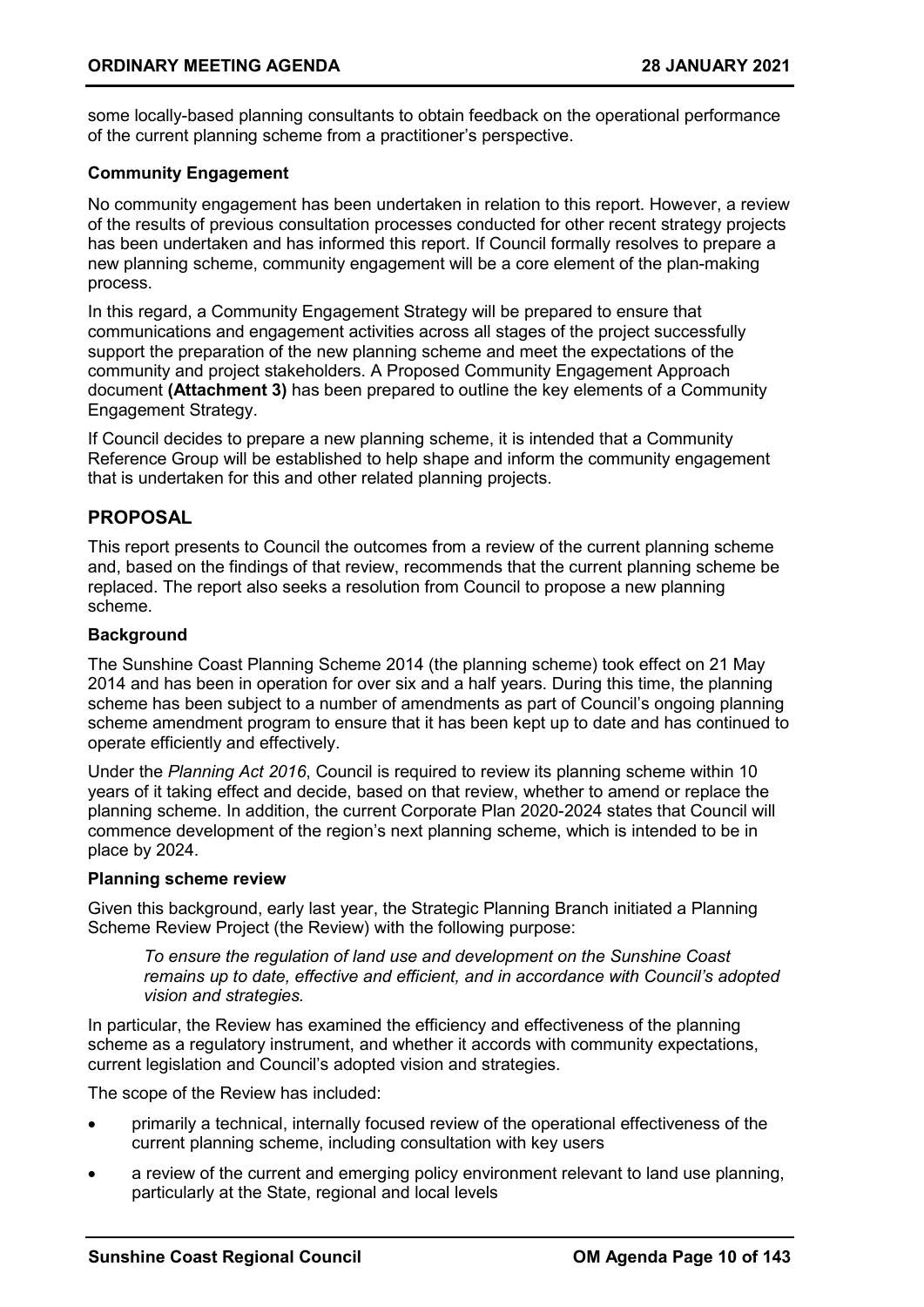some locally-based planning consultants to obtain feedback on the operational performance of the current planning scheme from a practitioner's perspective.

#### **Community Engagement**

No community engagement has been undertaken in relation to this report. However, a review of the results of previous consultation processes conducted for other recent strategy projects has been undertaken and has informed this report. If Council formally resolves to prepare a new planning scheme, community engagement will be a core element of the plan-making process.

In this regard, a Community Engagement Strategy will be prepared to ensure that communications and engagement activities across all stages of the project successfully support the preparation of the new planning scheme and meet the expectations of the community and project stakeholders. A Proposed Community Engagement Approach document **(Attachment 3)** has been prepared to outline the key elements of a Community Engagement Strategy.

If Council decides to prepare a new planning scheme, it is intended that a Community Reference Group will be established to help shape and inform the community engagement that is undertaken for this and other related planning projects.

#### **PROPOSAL**

This report presents to Council the outcomes from a review of the current planning scheme and, based on the findings of that review, recommends that the current planning scheme be replaced. The report also seeks a resolution from Council to propose a new planning scheme.

#### **Background**

The Sunshine Coast Planning Scheme 2014 (the planning scheme) took effect on 21 May 2014 and has been in operation for over six and a half years. During this time, the planning scheme has been subject to a number of amendments as part of Council's ongoing planning scheme amendment program to ensure that it has been kept up to date and has continued to operate efficiently and effectively.

Under the *Planning Act 2016*, Council is required to review its planning scheme within 10 years of it taking effect and decide, based on that review, whether to amend or replace the planning scheme. In addition, the current Corporate Plan 2020-2024 states that Council will commence development of the region's next planning scheme, which is intended to be in place by 2024.

#### **Planning scheme review**

Given this background, early last year, the Strategic Planning Branch initiated a Planning Scheme Review Project (the Review) with the following purpose:

*To ensure the regulation of land use and development on the Sunshine Coast remains up to date, effective and efficient, and in accordance with Council's adopted vision and strategies.*

In particular, the Review has examined the efficiency and effectiveness of the planning scheme as a regulatory instrument, and whether it accords with community expectations, current legislation and Council's adopted vision and strategies.

The scope of the Review has included:

- primarily a technical, internally focused review of the operational effectiveness of the current planning scheme, including consultation with key users
- a review of the current and emerging policy environment relevant to land use planning, particularly at the State, regional and local levels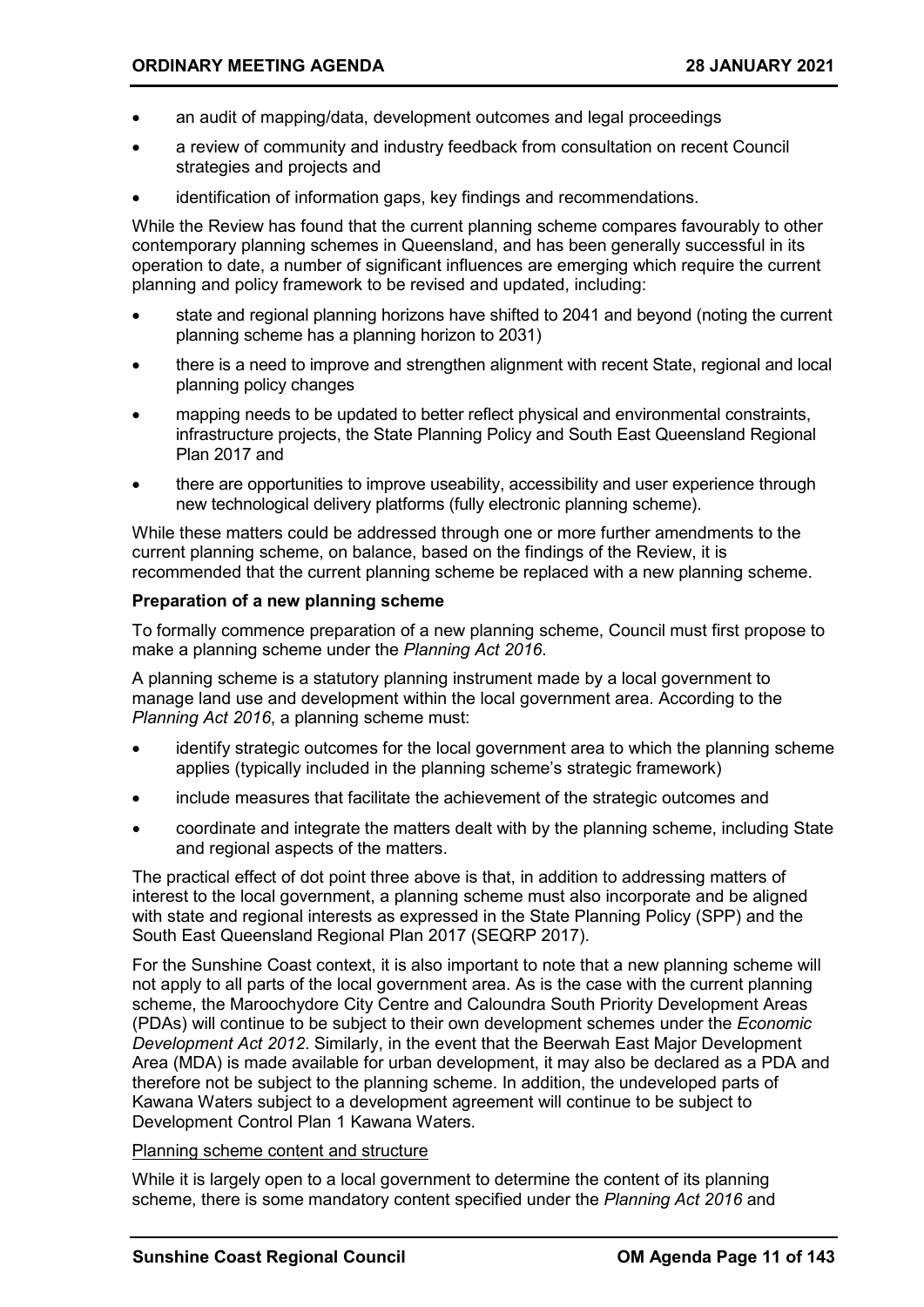- an audit of mapping/data, development outcomes and legal proceedings
- a review of community and industry feedback from consultation on recent Council strategies and projects and
- identification of information gaps, key findings and recommendations.

While the Review has found that the current planning scheme compares favourably to other contemporary planning schemes in Queensland, and has been generally successful in its operation to date, a number of significant influences are emerging which require the current planning and policy framework to be revised and updated, including:

- state and regional planning horizons have shifted to 2041 and beyond (noting the current planning scheme has a planning horizon to 2031)
- there is a need to improve and strengthen alignment with recent State, regional and local planning policy changes
- mapping needs to be updated to better reflect physical and environmental constraints, infrastructure projects, the State Planning Policy and South East Queensland Regional Plan 2017 and
- there are opportunities to improve useability, accessibility and user experience through new technological delivery platforms (fully electronic planning scheme).

While these matters could be addressed through one or more further amendments to the current planning scheme, on balance, based on the findings of the Review, it is recommended that the current planning scheme be replaced with a new planning scheme.

#### **Preparation of a new planning scheme**

To formally commence preparation of a new planning scheme, Council must first propose to make a planning scheme under the *Planning Act 2016*.

A planning scheme is a statutory planning instrument made by a local government to manage land use and development within the local government area. According to the *Planning Act 2016*, a planning scheme must:

- identify strategic outcomes for the local government area to which the planning scheme applies (typically included in the planning scheme's strategic framework)
- include measures that facilitate the achievement of the strategic outcomes and
- coordinate and integrate the matters dealt with by the planning scheme, including State and regional aspects of the matters.

The practical effect of dot point three above is that, in addition to addressing matters of interest to the local government, a planning scheme must also incorporate and be aligned with state and regional interests as expressed in the State Planning Policy (SPP) and the South East Queensland Regional Plan 2017 (SEQRP 2017).

For the Sunshine Coast context, it is also important to note that a new planning scheme will not apply to all parts of the local government area. As is the case with the current planning scheme, the Maroochydore City Centre and Caloundra South Priority Development Areas (PDAs) will continue to be subject to their own development schemes under the *Economic Development Act 2012*. Similarly, in the event that the Beerwah East Major Development Area (MDA) is made available for urban development, it may also be declared as a PDA and therefore not be subject to the planning scheme. In addition, the undeveloped parts of Kawana Waters subject to a development agreement will continue to be subject to Development Control Plan 1 Kawana Waters.

#### Planning scheme content and structure

While it is largely open to a local government to determine the content of its planning scheme, there is some mandatory content specified under the *Planning Act 2016* and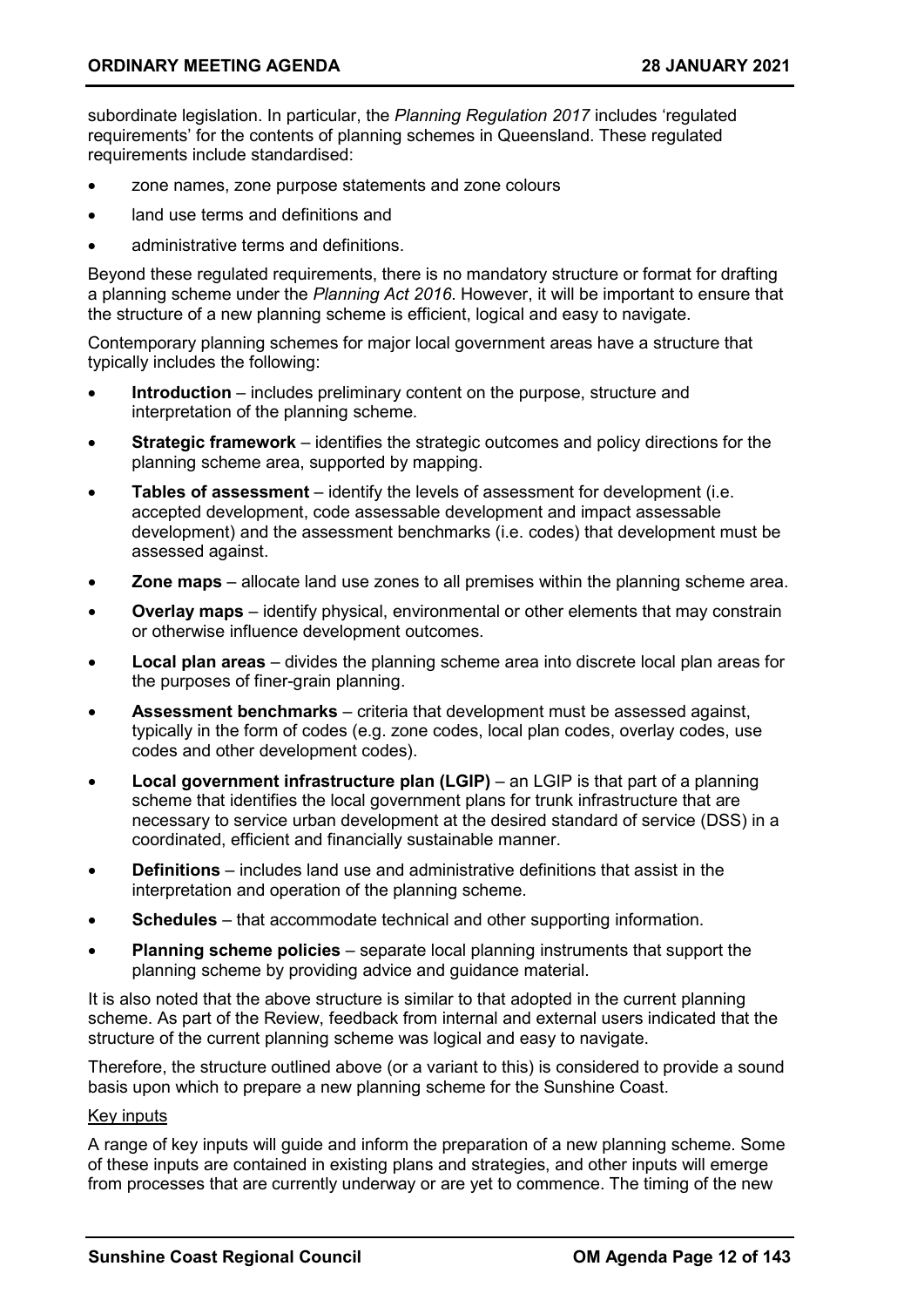subordinate legislation. In particular, the *Planning Regulation 2017* includes 'regulated requirements' for the contents of planning schemes in Queensland. These regulated requirements include standardised:

- zone names, zone purpose statements and zone colours
- land use terms and definitions and
- administrative terms and definitions.

Beyond these regulated requirements, there is no mandatory structure or format for drafting a planning scheme under the *Planning Act 2016*. However, it will be important to ensure that the structure of a new planning scheme is efficient, logical and easy to navigate.

Contemporary planning schemes for major local government areas have a structure that typically includes the following:

- **Introduction** includes preliminary content on the purpose, structure and interpretation of the planning scheme.
- **Strategic framework** identifies the strategic outcomes and policy directions for the planning scheme area, supported by mapping.
- **Tables of assessment** identify the levels of assessment for development (i.e. accepted development, code assessable development and impact assessable development) and the assessment benchmarks (i.e. codes) that development must be assessed against.
- **Zone maps**  allocate land use zones to all premises within the planning scheme area.
- **Overlay maps** identify physical, environmental or other elements that may constrain or otherwise influence development outcomes.
- **Local plan areas**  divides the planning scheme area into discrete local plan areas for the purposes of finer-grain planning.
- **Assessment benchmarks**  criteria that development must be assessed against, typically in the form of codes (e.g. zone codes, local plan codes, overlay codes, use codes and other development codes).
- **Local government infrastructure plan (LGIP)** an LGIP is that part of a planning scheme that identifies the local government plans for trunk infrastructure that are necessary to service urban development at the desired standard of service (DSS) in a coordinated, efficient and financially sustainable manner.
- **Definitions** includes land use and administrative definitions that assist in the interpretation and operation of the planning scheme.
- **Schedules** that accommodate technical and other supporting information.
- **Planning scheme policies**  separate local planning instruments that support the planning scheme by providing advice and guidance material.

It is also noted that the above structure is similar to that adopted in the current planning scheme. As part of the Review, feedback from internal and external users indicated that the structure of the current planning scheme was logical and easy to navigate.

Therefore, the structure outlined above (or a variant to this) is considered to provide a sound basis upon which to prepare a new planning scheme for the Sunshine Coast.

#### Key inputs

A range of key inputs will guide and inform the preparation of a new planning scheme. Some of these inputs are contained in existing plans and strategies, and other inputs will emerge from processes that are currently underway or are yet to commence. The timing of the new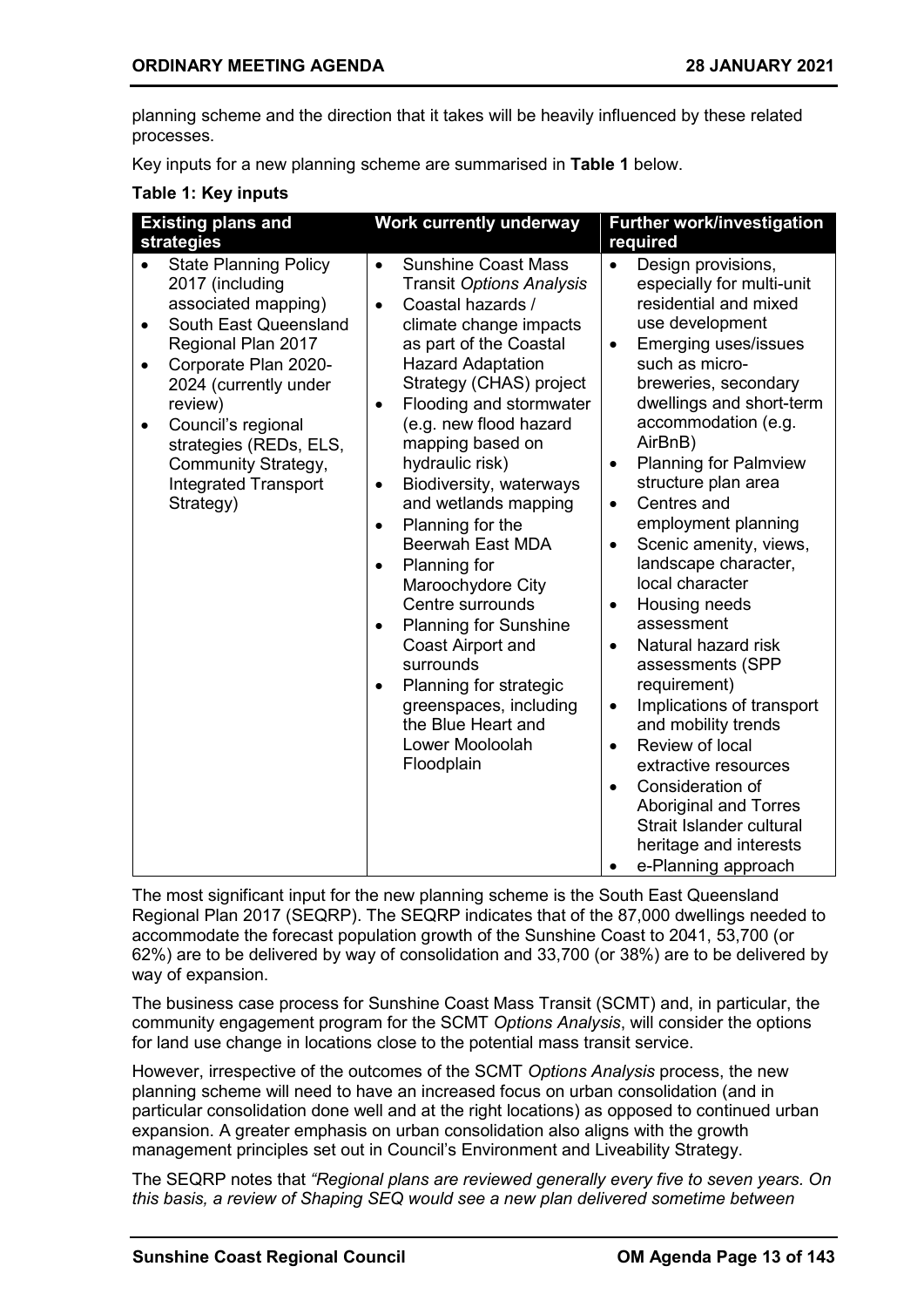planning scheme and the direction that it takes will be heavily influenced by these related processes.

Key inputs for a new planning scheme are summarised in **Table 1** below.

#### **Table 1: Key inputs**

| <b>Existing plans and</b>                                                                                                                                                                                                                                                                                                                   | <b>Work currently underway</b>                                                                                                                                                                                                                                                                                                                                                                                                                                                                                                                                                                                                                                                                                                            | <b>Further work/investigation</b>                                                                                                                                                                                                                                                                                                                                                                                                                                                                                                                                                                                                                                                                                                                                                                                                                         |
|---------------------------------------------------------------------------------------------------------------------------------------------------------------------------------------------------------------------------------------------------------------------------------------------------------------------------------------------|-------------------------------------------------------------------------------------------------------------------------------------------------------------------------------------------------------------------------------------------------------------------------------------------------------------------------------------------------------------------------------------------------------------------------------------------------------------------------------------------------------------------------------------------------------------------------------------------------------------------------------------------------------------------------------------------------------------------------------------------|-----------------------------------------------------------------------------------------------------------------------------------------------------------------------------------------------------------------------------------------------------------------------------------------------------------------------------------------------------------------------------------------------------------------------------------------------------------------------------------------------------------------------------------------------------------------------------------------------------------------------------------------------------------------------------------------------------------------------------------------------------------------------------------------------------------------------------------------------------------|
| strategies                                                                                                                                                                                                                                                                                                                                  |                                                                                                                                                                                                                                                                                                                                                                                                                                                                                                                                                                                                                                                                                                                                           | required                                                                                                                                                                                                                                                                                                                                                                                                                                                                                                                                                                                                                                                                                                                                                                                                                                                  |
| <b>State Planning Policy</b><br>2017 (including<br>associated mapping)<br>South East Queensland<br>$\bullet$<br>Regional Plan 2017<br>Corporate Plan 2020-<br>$\bullet$<br>2024 (currently under<br>review)<br>Council's regional<br>$\bullet$<br>strategies (REDs, ELS,<br>Community Strategy,<br><b>Integrated Transport</b><br>Strategy) | <b>Sunshine Coast Mass</b><br>$\bullet$<br><b>Transit Options Analysis</b><br>Coastal hazards /<br>$\bullet$<br>climate change impacts<br>as part of the Coastal<br><b>Hazard Adaptation</b><br>Strategy (CHAS) project<br>Flooding and stormwater<br>$\bullet$<br>(e.g. new flood hazard<br>mapping based on<br>hydraulic risk)<br>Biodiversity, waterways<br>$\bullet$<br>and wetlands mapping<br>Planning for the<br>$\bullet$<br><b>Beerwah East MDA</b><br>Planning for<br>$\bullet$<br>Maroochydore City<br>Centre surrounds<br><b>Planning for Sunshine</b><br>$\bullet$<br>Coast Airport and<br>surrounds<br>Planning for strategic<br>$\bullet$<br>greenspaces, including<br>the Blue Heart and<br>Lower Mooloolah<br>Floodplain | Design provisions,<br>$\bullet$<br>especially for multi-unit<br>residential and mixed<br>use development<br>Emerging uses/issues<br>$\bullet$<br>such as micro-<br>breweries, secondary<br>dwellings and short-term<br>accommodation (e.g.<br>AirBnB)<br><b>Planning for Palmview</b><br>$\bullet$<br>structure plan area<br>Centres and<br>$\bullet$<br>employment planning<br>Scenic amenity, views,<br>$\bullet$<br>landscape character,<br>local character<br>Housing needs<br>$\bullet$<br>assessment<br>Natural hazard risk<br>$\bullet$<br>assessments (SPP<br>requirement)<br>Implications of transport<br>$\bullet$<br>and mobility trends<br>Review of local<br>$\bullet$<br>extractive resources<br>Consideration of<br>$\bullet$<br><b>Aboriginal and Torres</b><br>Strait Islander cultural<br>heritage and interests<br>e-Planning approach |

The most significant input for the new planning scheme is the South East Queensland Regional Plan 2017 (SEQRP). The SEQRP indicates that of the 87,000 dwellings needed to accommodate the forecast population growth of the Sunshine Coast to 2041, 53,700 (or 62%) are to be delivered by way of consolidation and 33,700 (or 38%) are to be delivered by way of expansion.

The business case process for Sunshine Coast Mass Transit (SCMT) and, in particular, the community engagement program for the SCMT *Options Analysis*, will consider the options for land use change in locations close to the potential mass transit service.

However, irrespective of the outcomes of the SCMT *Options Analysis* process, the new planning scheme will need to have an increased focus on urban consolidation (and in particular consolidation done well and at the right locations) as opposed to continued urban expansion. A greater emphasis on urban consolidation also aligns with the growth management principles set out in Council's Environment and Liveability Strategy.

The SEQRP notes that *"Regional plans are reviewed generally every five to seven years. On this basis, a review of Shaping SEQ would see a new plan delivered sometime between*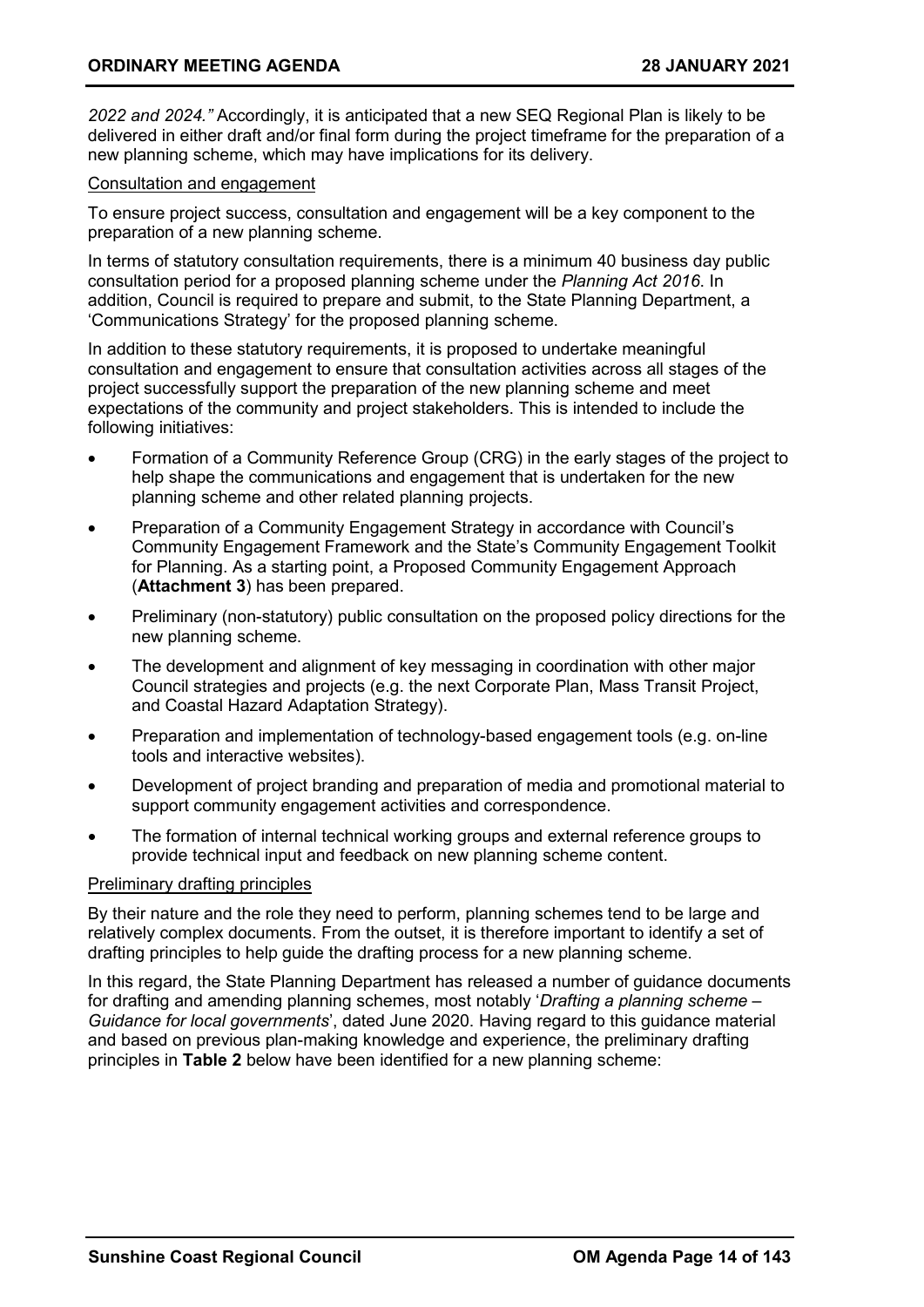*2022 and 2024."* Accordingly, it is anticipated that a new SEQ Regional Plan is likely to be delivered in either draft and/or final form during the project timeframe for the preparation of a new planning scheme, which may have implications for its delivery.

#### Consultation and engagement

To ensure project success, consultation and engagement will be a key component to the preparation of a new planning scheme.

In terms of statutory consultation requirements, there is a minimum 40 business day public consultation period for a proposed planning scheme under the *Planning Act 2016*. In addition, Council is required to prepare and submit, to the State Planning Department, a 'Communications Strategy' for the proposed planning scheme.

In addition to these statutory requirements, it is proposed to undertake meaningful consultation and engagement to ensure that consultation activities across all stages of the project successfully support the preparation of the new planning scheme and meet expectations of the community and project stakeholders. This is intended to include the following initiatives:

- Formation of a Community Reference Group (CRG) in the early stages of the project to help shape the communications and engagement that is undertaken for the new planning scheme and other related planning projects.
- Preparation of a Community Engagement Strategy in accordance with Council's Community Engagement Framework and the State's Community Engagement Toolkit for Planning. As a starting point, a Proposed Community Engagement Approach (**Attachment 3**) has been prepared.
- Preliminary (non-statutory) public consultation on the proposed policy directions for the new planning scheme.
- The development and alignment of key messaging in coordination with other major Council strategies and projects (e.g. the next Corporate Plan, Mass Transit Project, and Coastal Hazard Adaptation Strategy).
- Preparation and implementation of technology-based engagement tools (e.g. on-line tools and interactive websites).
- Development of project branding and preparation of media and promotional material to support community engagement activities and correspondence.
- The formation of internal technical working groups and external reference groups to provide technical input and feedback on new planning scheme content.

#### Preliminary drafting principles

By their nature and the role they need to perform, planning schemes tend to be large and relatively complex documents. From the outset, it is therefore important to identify a set of drafting principles to help guide the drafting process for a new planning scheme.

In this regard, the State Planning Department has released a number of guidance documents for drafting and amending planning schemes, most notably '*Drafting a planning scheme – Guidance for local governments*', dated June 2020. Having regard to this guidance material and based on previous plan-making knowledge and experience, the preliminary drafting principles in **Table 2** below have been identified for a new planning scheme: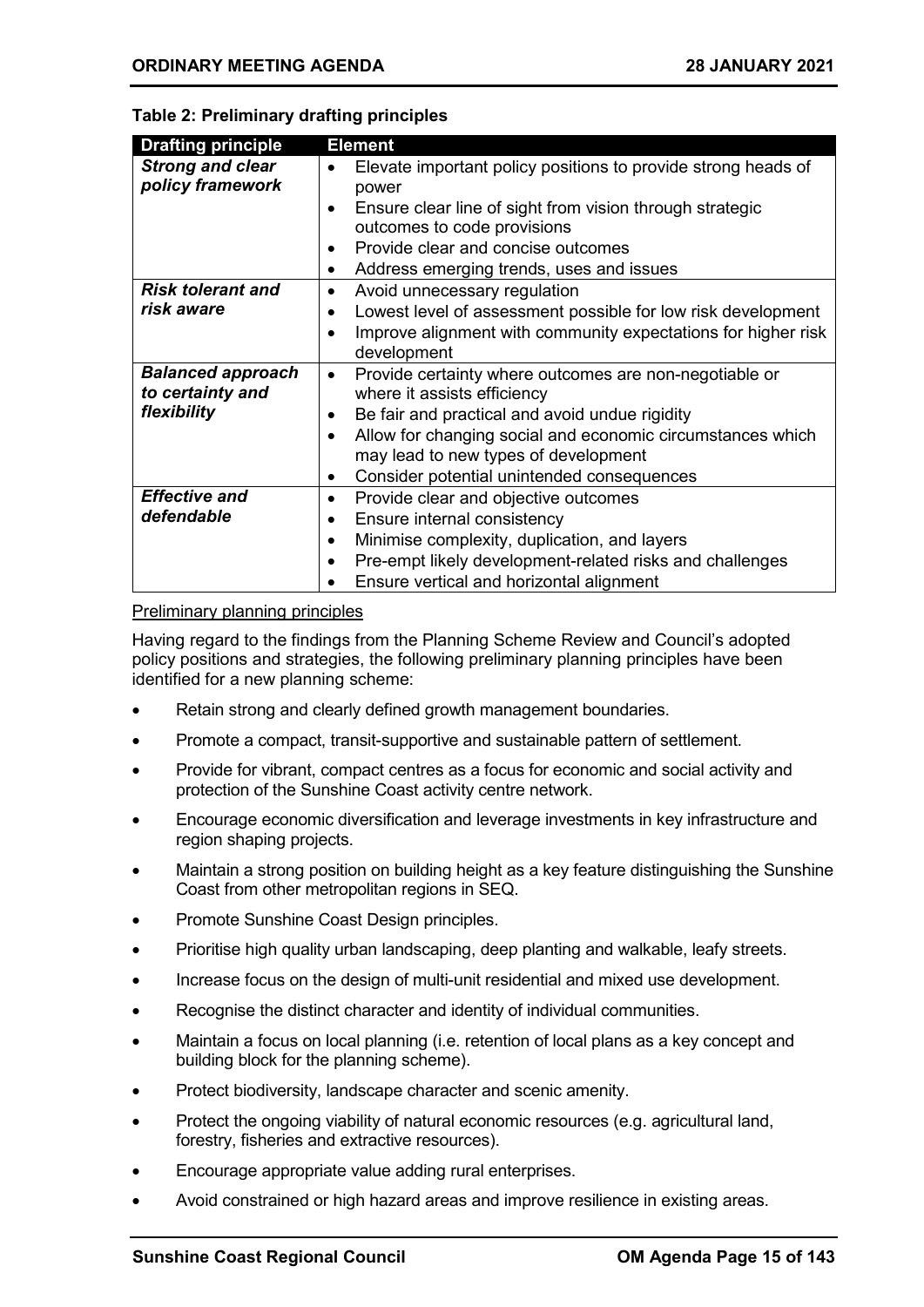| <b>Drafting principle</b>                    | <b>Element</b>                                                                                     |
|----------------------------------------------|----------------------------------------------------------------------------------------------------|
| <b>Strong and clear</b><br>policy framework  | Elevate important policy positions to provide strong heads of<br>power                             |
|                                              | Ensure clear line of sight from vision through strategic<br>٠<br>outcomes to code provisions       |
|                                              | Provide clear and concise outcomes                                                                 |
|                                              | Address emerging trends, uses and issues<br>٠                                                      |
| <b>Risk tolerant and</b>                     | Avoid unnecessary regulation<br>٠                                                                  |
| risk aware                                   | Lowest level of assessment possible for low risk development<br>٠                                  |
|                                              | Improve alignment with community expectations for higher risk<br>development                       |
| <b>Balanced approach</b><br>to certainty and | Provide certainty where outcomes are non-negotiable or<br>$\bullet$<br>where it assists efficiency |
| flexibility                                  | Be fair and practical and avoid undue rigidity                                                     |
|                                              | Allow for changing social and economic circumstances which                                         |
|                                              | may lead to new types of development                                                               |
|                                              | Consider potential unintended consequences                                                         |
| <b>Effective and</b>                         | Provide clear and objective outcomes<br>٠                                                          |
| defendable                                   | Ensure internal consistency                                                                        |

#### **Table 2: Preliminary drafting principles**

#### Preliminary planning principles

Having regard to the findings from the Planning Scheme Review and Council's adopted policy positions and strategies, the following preliminary planning principles have been identified for a new planning scheme:

• Minimise complexity, duplication, and layers

• Ensure vertical and horizontal alignment

• Pre-empt likely development-related risks and challenges

- Retain strong and clearly defined growth management boundaries.
- Promote a compact, transit-supportive and sustainable pattern of settlement.
- Provide for vibrant, compact centres as a focus for economic and social activity and protection of the Sunshine Coast activity centre network.
- Encourage economic diversification and leverage investments in key infrastructure and region shaping projects.
- Maintain a strong position on building height as a key feature distinguishing the Sunshine Coast from other metropolitan regions in SEQ.
- Promote Sunshine Coast Design principles.
- Prioritise high quality urban landscaping, deep planting and walkable, leafy streets.
- Increase focus on the design of multi-unit residential and mixed use development.
- Recognise the distinct character and identity of individual communities.
- Maintain a focus on local planning (i.e. retention of local plans as a key concept and building block for the planning scheme).
- Protect biodiversity, landscape character and scenic amenity.
- Protect the ongoing viability of natural economic resources (e.g. agricultural land, forestry, fisheries and extractive resources).
- Encourage appropriate value adding rural enterprises.
- Avoid constrained or high hazard areas and improve resilience in existing areas.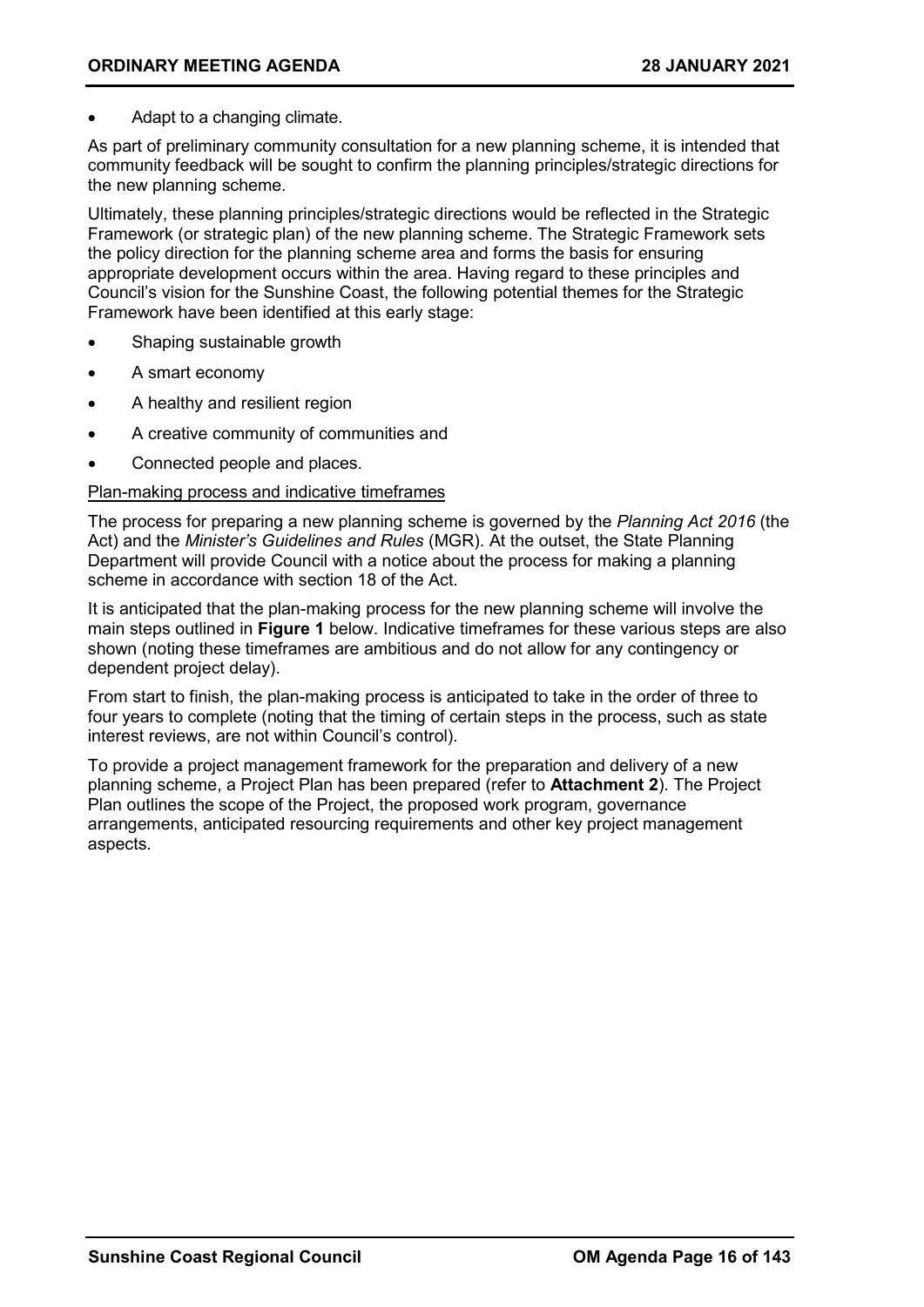Adapt to a changing climate.

As part of preliminary community consultation for a new planning scheme, it is intended that community feedback will be sought to confirm the planning principles/strategic directions for the new planning scheme.

Ultimately, these planning principles/strategic directions would be reflected in the Strategic Framework (or strategic plan) of the new planning scheme. The Strategic Framework sets the policy direction for the planning scheme area and forms the basis for ensuring appropriate development occurs within the area. Having regard to these principles and Council's vision for the Sunshine Coast, the following potential themes for the Strategic Framework have been identified at this early stage:

- Shaping sustainable growth
- A smart economy
- A healthy and resilient region
- A creative community of communities and
- Connected people and places.

#### Plan-making process and indicative timeframes

The process for preparing a new planning scheme is governed by the *Planning Act 2016* (the Act) and the *Minister's Guidelines and Rules* (MGR). At the outset, the State Planning Department will provide Council with a notice about the process for making a planning scheme in accordance with section 18 of the Act.

It is anticipated that the plan-making process for the new planning scheme will involve the main steps outlined in **Figure 1** below. Indicative timeframes for these various steps are also shown (noting these timeframes are ambitious and do not allow for any contingency or dependent project delay).

From start to finish, the plan-making process is anticipated to take in the order of three to four years to complete (noting that the timing of certain steps in the process, such as state interest reviews, are not within Council's control).

To provide a project management framework for the preparation and delivery of a new planning scheme, a Project Plan has been prepared (refer to **Attachment 2**). The Project Plan outlines the scope of the Project, the proposed work program, governance arrangements, anticipated resourcing requirements and other key project management aspects.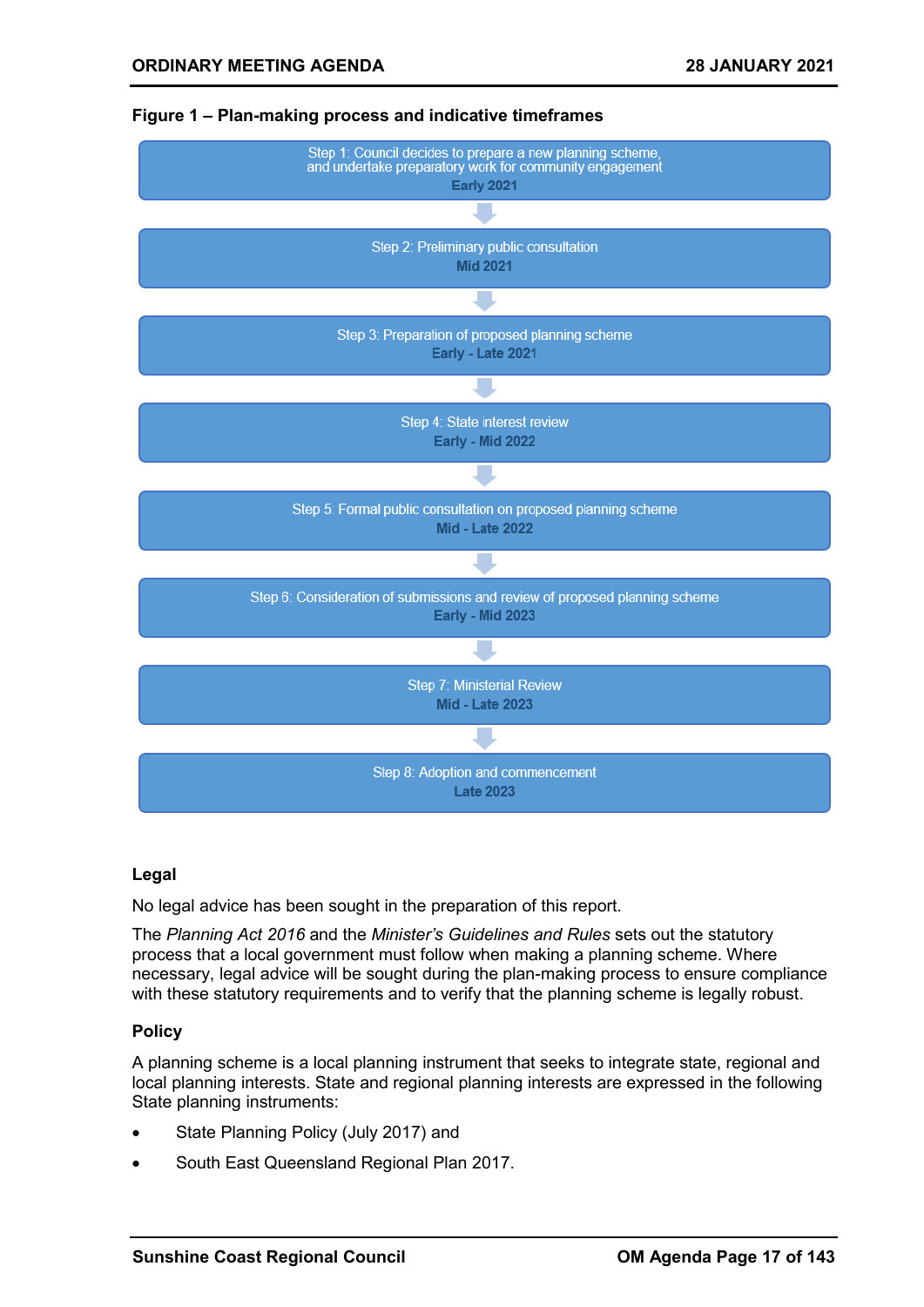

#### **Figure 1 – Plan-making process and indicative timeframes**

#### **Legal**

No legal advice has been sought in the preparation of this report.

The *Planning Act 2016* and the *Minister's Guidelines and Rules* sets out the statutory process that a local government must follow when making a planning scheme. Where necessary, legal advice will be sought during the plan-making process to ensure compliance with these statutory requirements and to verify that the planning scheme is legally robust.

#### **Policy**

A planning scheme is a local planning instrument that seeks to integrate state, regional and local planning interests. State and regional planning interests are expressed in the following State planning instruments:

- State Planning Policy (July 2017) and
- South East Queensland Regional Plan 2017.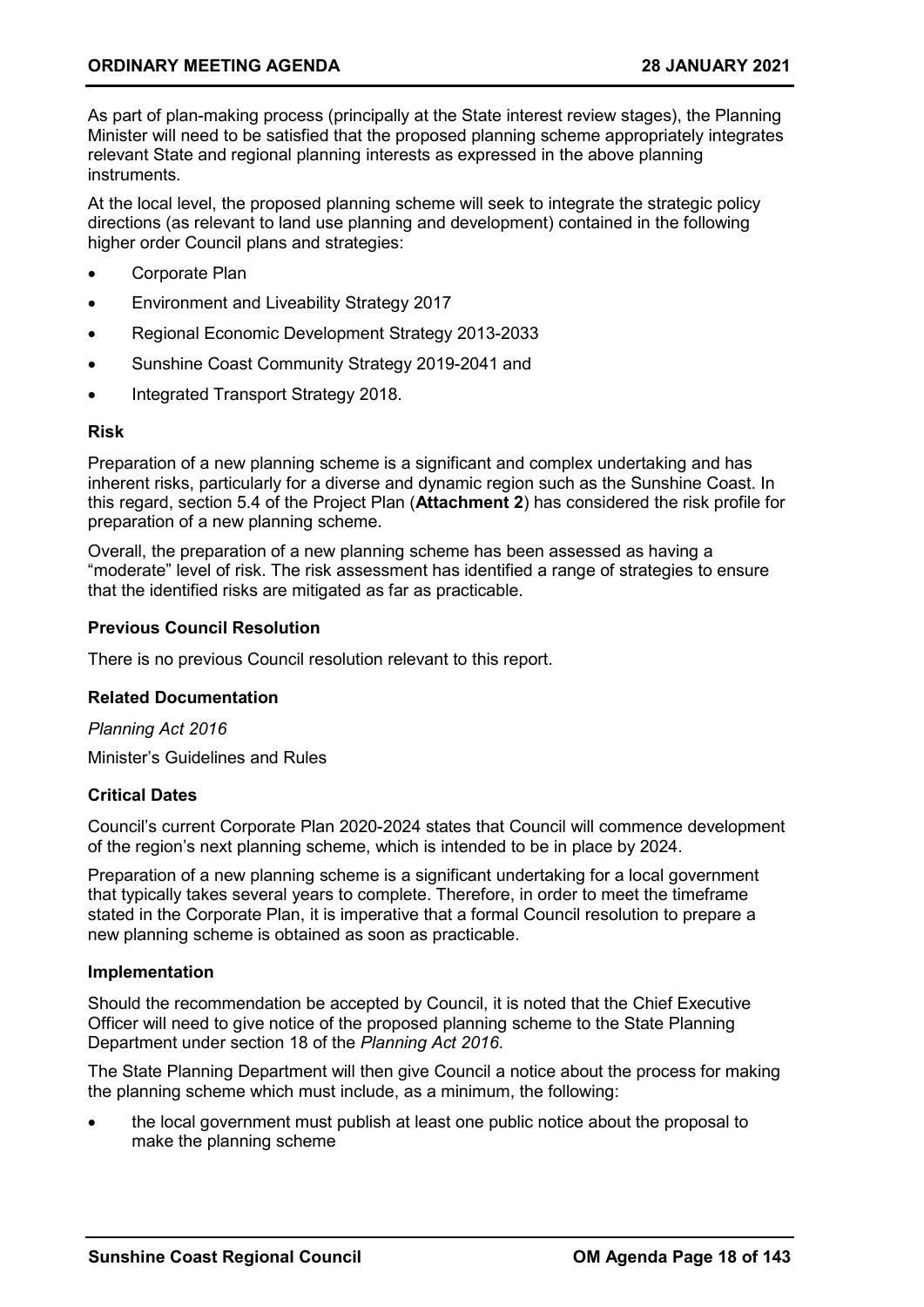As part of plan-making process (principally at the State interest review stages), the Planning Minister will need to be satisfied that the proposed planning scheme appropriately integrates relevant State and regional planning interests as expressed in the above planning instruments.

At the local level, the proposed planning scheme will seek to integrate the strategic policy directions (as relevant to land use planning and development) contained in the following higher order Council plans and strategies:

- Corporate Plan
- Environment and Liveability Strategy 2017
- Regional Economic Development Strategy 2013-2033
- Sunshine Coast Community Strategy 2019-2041 and
- Integrated Transport Strategy 2018.

#### **Risk**

Preparation of a new planning scheme is a significant and complex undertaking and has inherent risks, particularly for a diverse and dynamic region such as the Sunshine Coast. In this regard, section 5.4 of the Project Plan (**Attachment 2**) has considered the risk profile for preparation of a new planning scheme.

Overall, the preparation of a new planning scheme has been assessed as having a "moderate" level of risk. The risk assessment has identified a range of strategies to ensure that the identified risks are mitigated as far as practicable.

#### **Previous Council Resolution**

There is no previous Council resolution relevant to this report.

#### **Related Documentation**

*Planning Act 2016* Minister's Guidelines and Rules

#### **Critical Dates**

Council's current Corporate Plan 2020-2024 states that Council will commence development of the region's next planning scheme, which is intended to be in place by 2024.

Preparation of a new planning scheme is a significant undertaking for a local government that typically takes several years to complete. Therefore, in order to meet the timeframe stated in the Corporate Plan, it is imperative that a formal Council resolution to prepare a new planning scheme is obtained as soon as practicable.

#### **Implementation**

Should the recommendation be accepted by Council, it is noted that the Chief Executive Officer will need to give notice of the proposed planning scheme to the State Planning Department under section 18 of the *Planning Act 2016*.

The State Planning Department will then give Council a notice about the process for making the planning scheme which must include, as a minimum, the following:

• the local government must publish at least one public notice about the proposal to make the planning scheme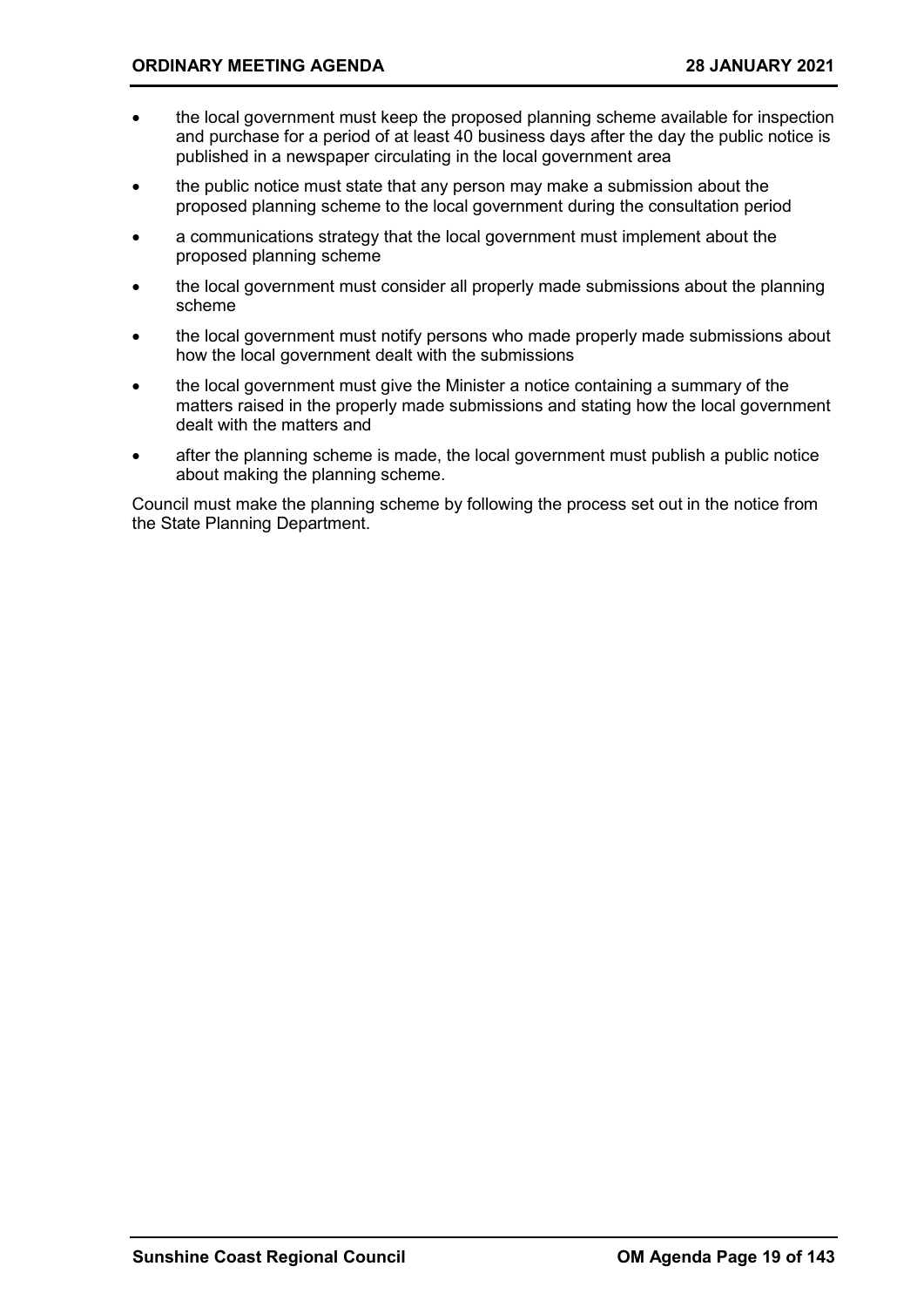- the local government must keep the proposed planning scheme available for inspection and purchase for a period of at least 40 business days after the day the public notice is published in a newspaper circulating in the local government area
- the public notice must state that any person may make a submission about the proposed planning scheme to the local government during the consultation period
- a communications strategy that the local government must implement about the proposed planning scheme
- the local government must consider all properly made submissions about the planning scheme
- the local government must notify persons who made properly made submissions about how the local government dealt with the submissions
- the local government must give the Minister a notice containing a summary of the matters raised in the properly made submissions and stating how the local government dealt with the matters and
- after the planning scheme is made, the local government must publish a public notice about making the planning scheme.

Council must make the planning scheme by following the process set out in the notice from the State Planning Department.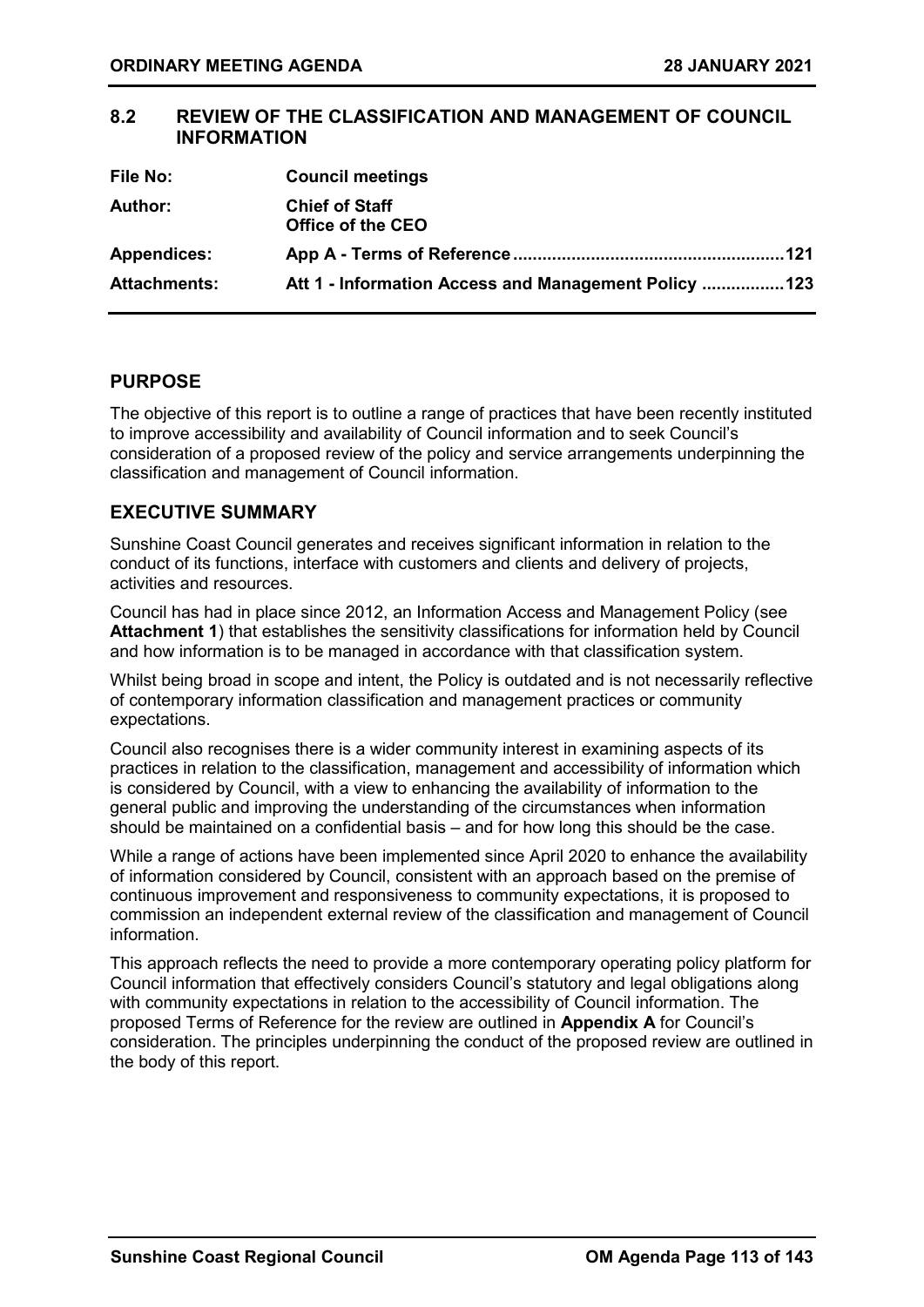### <span id="page-20-0"></span>**8.2 REVIEW OF THE CLASSIFICATION AND MANAGEMENT OF COUNCIL INFORMATION**

| <b>File No:</b>     | <b>Council meetings</b>                              |
|---------------------|------------------------------------------------------|
| Author:             | <b>Chief of Staff</b><br>Office of the CEO           |
| <b>Appendices:</b>  | -121                                                 |
| <b>Attachments:</b> | Att 1 - Information Access and Management Policy 123 |

#### **PURPOSE**

The objective of this report is to outline a range of practices that have been recently instituted to improve accessibility and availability of Council information and to seek Council's consideration of a proposed review of the policy and service arrangements underpinning the classification and management of Council information.

#### **EXECUTIVE SUMMARY**

Sunshine Coast Council generates and receives significant information in relation to the conduct of its functions, interface with customers and clients and delivery of projects, activities and resources.

Council has had in place since 2012, an Information Access and Management Policy (see **Attachment 1**) that establishes the sensitivity classifications for information held by Council and how information is to be managed in accordance with that classification system.

Whilst being broad in scope and intent, the Policy is outdated and is not necessarily reflective of contemporary information classification and management practices or community expectations.

Council also recognises there is a wider community interest in examining aspects of its practices in relation to the classification, management and accessibility of information which is considered by Council, with a view to enhancing the availability of information to the general public and improving the understanding of the circumstances when information should be maintained on a confidential basis – and for how long this should be the case.

While a range of actions have been implemented since April 2020 to enhance the availability of information considered by Council, consistent with an approach based on the premise of continuous improvement and responsiveness to community expectations, it is proposed to commission an independent external review of the classification and management of Council information.

This approach reflects the need to provide a more contemporary operating policy platform for Council information that effectively considers Council's statutory and legal obligations along with community expectations in relation to the accessibility of Council information. The proposed Terms of Reference for the review are outlined in **Appendix A** for Council's consideration. The principles underpinning the conduct of the proposed review are outlined in the body of this report.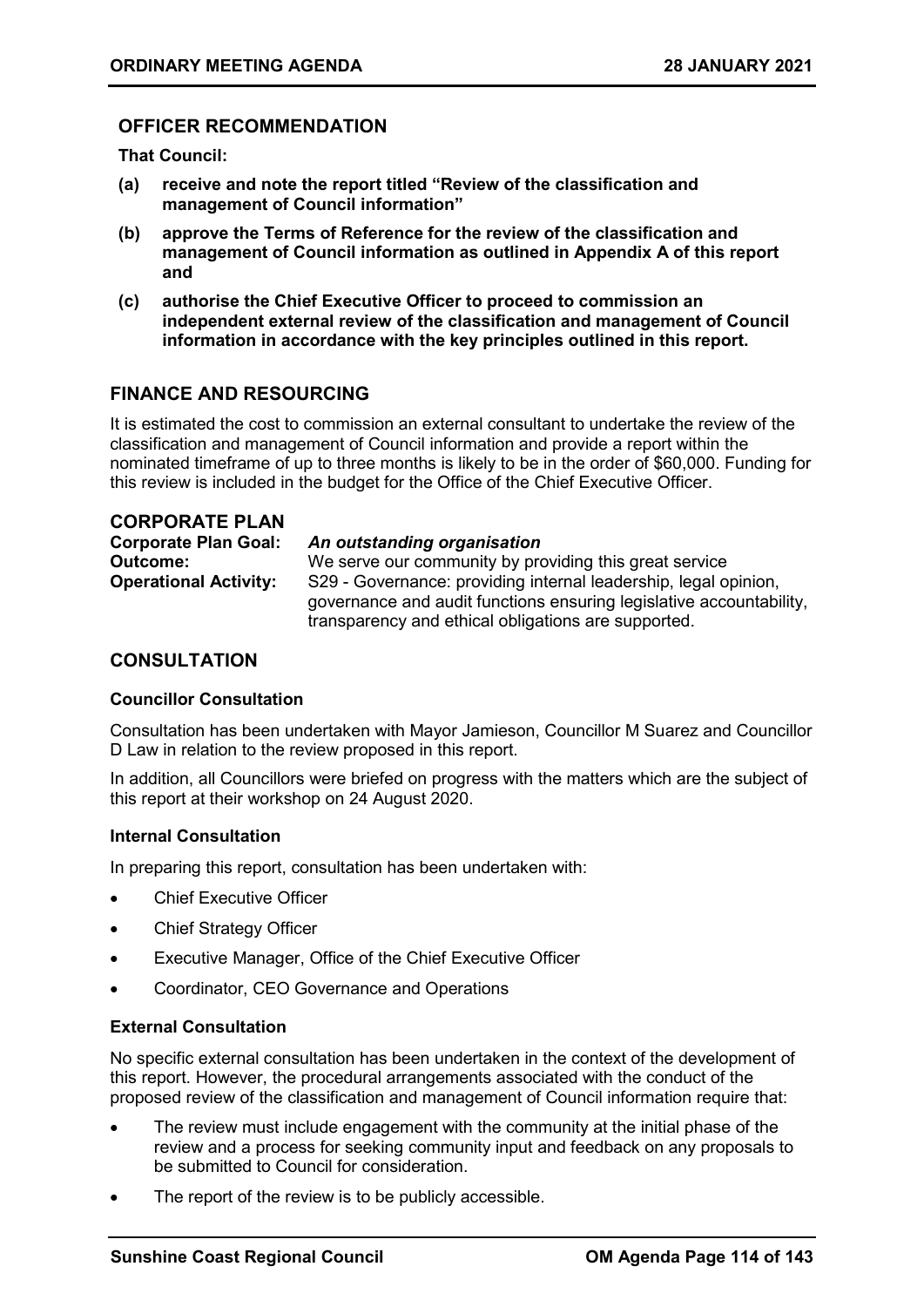#### **OFFICER RECOMMENDATION**

**That Council:**

- **(a) receive and note the report titled "Review of the classification and management of Council information"**
- **(b) approve the Terms of Reference for the review of the classification and management of Council information as outlined in Appendix A of this report and**
- **(c) authorise the Chief Executive Officer to proceed to commission an independent external review of the classification and management of Council information in accordance with the key principles outlined in this report.**

#### **FINANCE AND RESOURCING**

It is estimated the cost to commission an external consultant to undertake the review of the classification and management of Council information and provide a report within the nominated timeframe of up to three months is likely to be in the order of \$60,000. Funding for this review is included in the budget for the Office of the Chief Executive Officer.

| <b>CORPORATE PLAN</b>        |                                                                     |
|------------------------------|---------------------------------------------------------------------|
| <b>Corporate Plan Goal:</b>  | An outstanding organisation                                         |
| <b>Outcome:</b>              | We serve our community by providing this great service              |
| <b>Operational Activity:</b> | S29 - Governance: providing internal leadership, legal opinion,     |
|                              | governance and audit functions ensuring legislative accountability, |
|                              | transparency and ethical obligations are supported.                 |

#### **CONSULTATION**

#### **Councillor Consultation**

Consultation has been undertaken with Mayor Jamieson, Councillor M Suarez and Councillor D Law in relation to the review proposed in this report.

In addition, all Councillors were briefed on progress with the matters which are the subject of this report at their workshop on 24 August 2020.

#### **Internal Consultation**

In preparing this report, consultation has been undertaken with:

- **Chief Executive Officer**
- Chief Strategy Officer
- Executive Manager, Office of the Chief Executive Officer
- Coordinator, CEO Governance and Operations

#### **External Consultation**

No specific external consultation has been undertaken in the context of the development of this report. However, the procedural arrangements associated with the conduct of the proposed review of the classification and management of Council information require that:

- The review must include engagement with the community at the initial phase of the review and a process for seeking community input and feedback on any proposals to be submitted to Council for consideration.
- The report of the review is to be publicly accessible.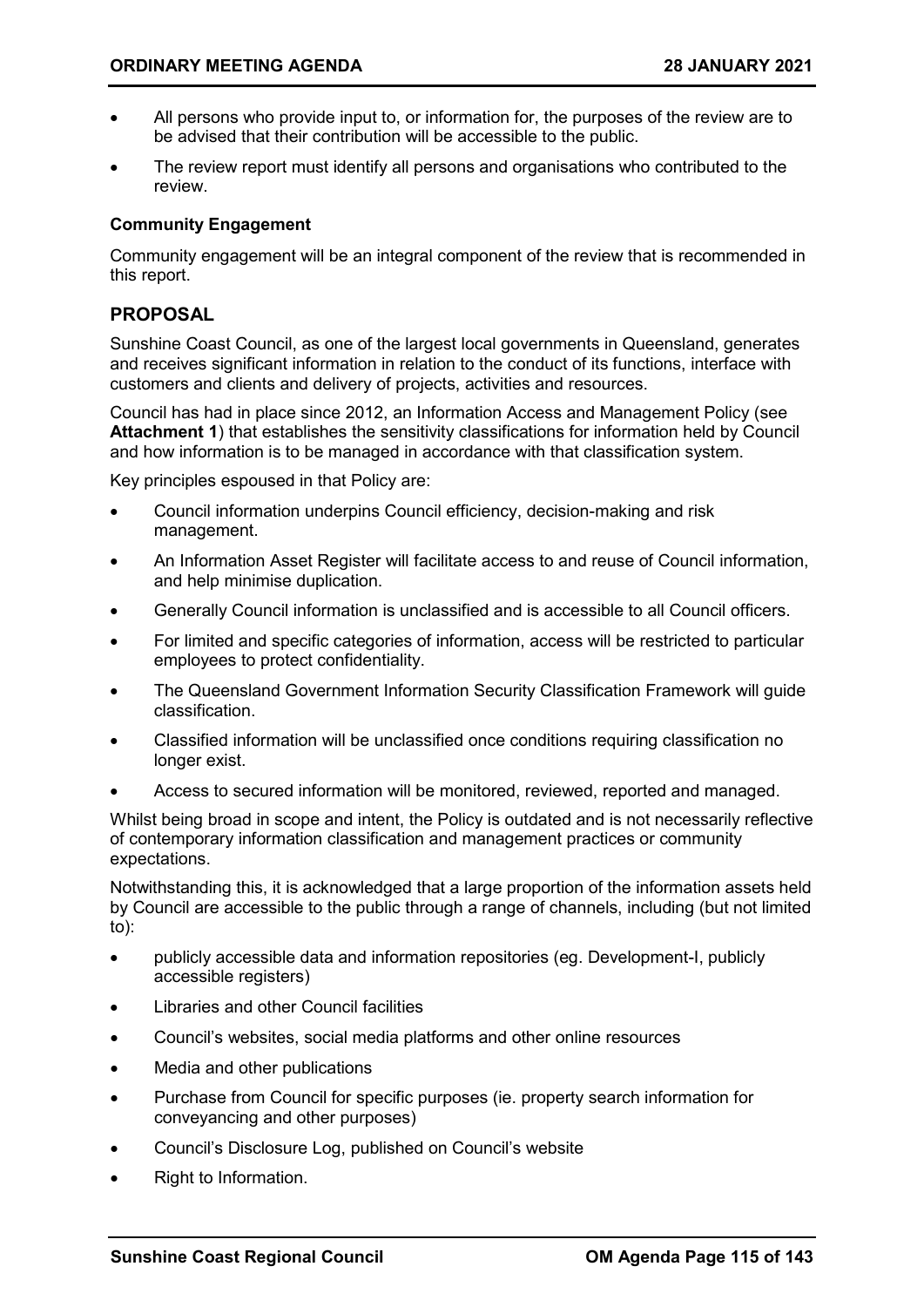- All persons who provide input to, or information for, the purposes of the review are to be advised that their contribution will be accessible to the public.
- The review report must identify all persons and organisations who contributed to the review.

#### **Community Engagement**

Community engagement will be an integral component of the review that is recommended in this report.

#### **PROPOSAL**

Sunshine Coast Council, as one of the largest local governments in Queensland, generates and receives significant information in relation to the conduct of its functions, interface with customers and clients and delivery of projects, activities and resources.

Council has had in place since 2012, an Information Access and Management Policy (see **Attachment 1**) that establishes the sensitivity classifications for information held by Council and how information is to be managed in accordance with that classification system.

Key principles espoused in that Policy are:

- Council information underpins Council efficiency, decision-making and risk management.
- An Information Asset Register will facilitate access to and reuse of Council information, and help minimise duplication.
- Generally Council information is unclassified and is accessible to all Council officers.
- For limited and specific categories of information, access will be restricted to particular employees to protect confidentiality.
- The Queensland Government Information Security Classification Framework will guide classification.
- Classified information will be unclassified once conditions requiring classification no longer exist.
- Access to secured information will be monitored, reviewed, reported and managed.

Whilst being broad in scope and intent, the Policy is outdated and is not necessarily reflective of contemporary information classification and management practices or community expectations.

Notwithstanding this, it is acknowledged that a large proportion of the information assets held by Council are accessible to the public through a range of channels, including (but not limited to):

- publicly accessible data and information repositories (eg. Development-I, publicly accessible registers)
- Libraries and other Council facilities
- Council's websites, social media platforms and other online resources
- Media and other publications
- Purchase from Council for specific purposes (ie. property search information for conveyancing and other purposes)
- Council's Disclosure Log, published on Council's website
- Right to Information.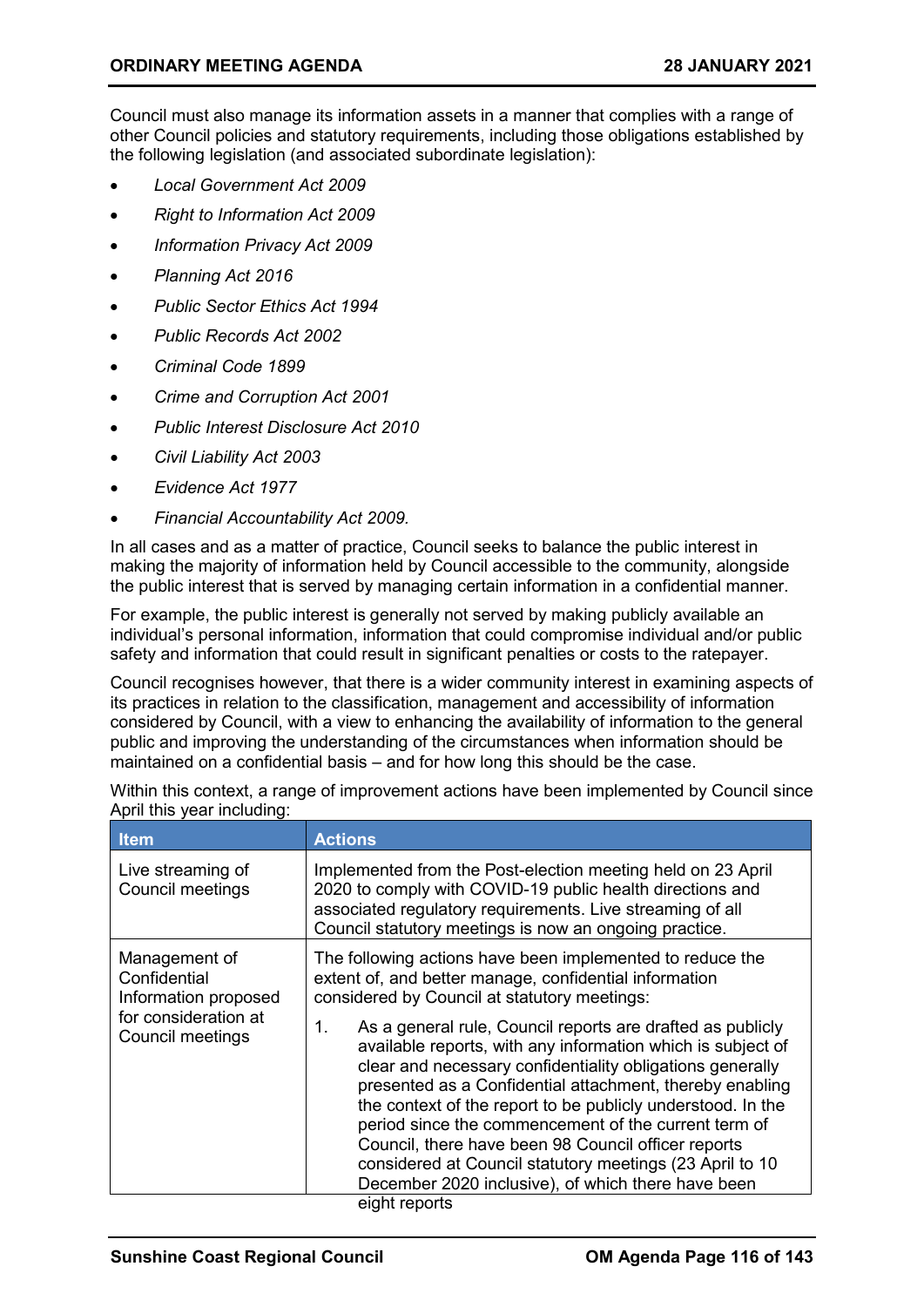Council must also manage its information assets in a manner that complies with a range of other Council policies and statutory requirements, including those obligations established by the following legislation (and associated subordinate legislation):

- *Local Government Act 2009*
- *Right to Information Act 2009*
- *Information Privacy Act 2009*
- *Planning Act 2016*
- *Public Sector Ethics Act 1994*
- *Public Records Act 2002*
- *Criminal Code 1899*
- *Crime and Corruption Act 2001*
- *Public Interest Disclosure Act 2010*
- *Civil Liability Act 2003*
- *Evidence Act 1977*
- *Financial Accountability Act 2009.*

In all cases and as a matter of practice, Council seeks to balance the public interest in making the majority of information held by Council accessible to the community, alongside the public interest that is served by managing certain information in a confidential manner.

For example, the public interest is generally not served by making publicly available an individual's personal information, information that could compromise individual and/or public safety and information that could result in significant penalties or costs to the ratepayer.

Council recognises however, that there is a wider community interest in examining aspects of its practices in relation to the classification, management and accessibility of information considered by Council, with a view to enhancing the availability of information to the general public and improving the understanding of the circumstances when information should be maintained on a confidential basis – and for how long this should be the case.

| Implemented from the Post-election meeting held on 23 April<br>2020 to comply with COVID-19 public health directions and<br>associated regulatory requirements. Live streaming of all<br>Council statutory meetings is now an ongoing practice.                                                                                                                                                                                                                                                                                                                           |
|---------------------------------------------------------------------------------------------------------------------------------------------------------------------------------------------------------------------------------------------------------------------------------------------------------------------------------------------------------------------------------------------------------------------------------------------------------------------------------------------------------------------------------------------------------------------------|
| The following actions have been implemented to reduce the<br>extent of, and better manage, confidential information<br>considered by Council at statutory meetings:                                                                                                                                                                                                                                                                                                                                                                                                       |
| 1.<br>As a general rule, Council reports are drafted as publicly<br>available reports, with any information which is subject of<br>clear and necessary confidentiality obligations generally<br>presented as a Confidential attachment, thereby enabling<br>the context of the report to be publicly understood. In the<br>period since the commencement of the current term of<br>Council, there have been 98 Council officer reports<br>considered at Council statutory meetings (23 April to 10<br>December 2020 inclusive), of which there have been<br>eight reports |
|                                                                                                                                                                                                                                                                                                                                                                                                                                                                                                                                                                           |

Within this context, a range of improvement actions have been implemented by Council since April this year including: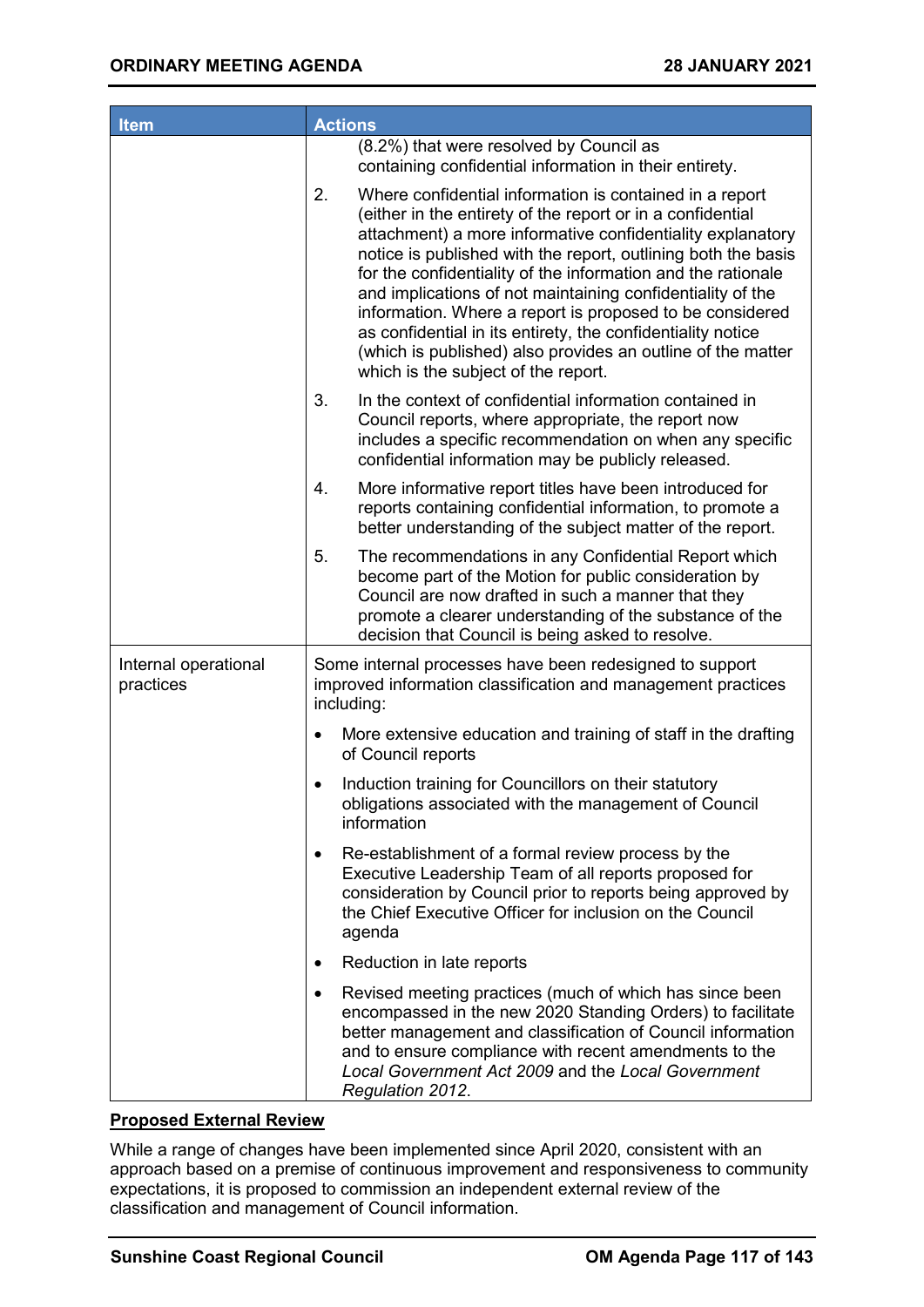| <b>Item</b>                       | <b>Actions</b>                                                                                                                                                                                                                                                                                                                                                                                                                                                                                                                                                                                                            |
|-----------------------------------|---------------------------------------------------------------------------------------------------------------------------------------------------------------------------------------------------------------------------------------------------------------------------------------------------------------------------------------------------------------------------------------------------------------------------------------------------------------------------------------------------------------------------------------------------------------------------------------------------------------------------|
|                                   | (8.2%) that were resolved by Council as<br>containing confidential information in their entirety.                                                                                                                                                                                                                                                                                                                                                                                                                                                                                                                         |
|                                   | 2.<br>Where confidential information is contained in a report<br>(either in the entirety of the report or in a confidential<br>attachment) a more informative confidentiality explanatory<br>notice is published with the report, outlining both the basis<br>for the confidentiality of the information and the rationale<br>and implications of not maintaining confidentiality of the<br>information. Where a report is proposed to be considered<br>as confidential in its entirety, the confidentiality notice<br>(which is published) also provides an outline of the matter<br>which is the subject of the report. |
|                                   | 3.<br>In the context of confidential information contained in<br>Council reports, where appropriate, the report now<br>includes a specific recommendation on when any specific<br>confidential information may be publicly released.                                                                                                                                                                                                                                                                                                                                                                                      |
|                                   | 4.<br>More informative report titles have been introduced for<br>reports containing confidential information, to promote a<br>better understanding of the subject matter of the report.                                                                                                                                                                                                                                                                                                                                                                                                                                   |
|                                   | 5.<br>The recommendations in any Confidential Report which<br>become part of the Motion for public consideration by<br>Council are now drafted in such a manner that they<br>promote a clearer understanding of the substance of the<br>decision that Council is being asked to resolve.                                                                                                                                                                                                                                                                                                                                  |
| Internal operational<br>practices | Some internal processes have been redesigned to support<br>improved information classification and management practices<br>including:                                                                                                                                                                                                                                                                                                                                                                                                                                                                                     |
|                                   | More extensive education and training of staff in the drafting<br>$\bullet$<br>of Council reports                                                                                                                                                                                                                                                                                                                                                                                                                                                                                                                         |
|                                   | Induction training for Councillors on their statutory<br>obligations associated with the management of Council<br>information                                                                                                                                                                                                                                                                                                                                                                                                                                                                                             |
|                                   | Re-establishment of a formal review process by the<br>Executive Leadership Team of all reports proposed for<br>consideration by Council prior to reports being approved by<br>the Chief Executive Officer for inclusion on the Council<br>agenda                                                                                                                                                                                                                                                                                                                                                                          |
|                                   | Reduction in late reports                                                                                                                                                                                                                                                                                                                                                                                                                                                                                                                                                                                                 |
|                                   | Revised meeting practices (much of which has since been<br>$\bullet$<br>encompassed in the new 2020 Standing Orders) to facilitate<br>better management and classification of Council information<br>and to ensure compliance with recent amendments to the<br>Local Government Act 2009 and the Local Government<br>Regulation 2012.                                                                                                                                                                                                                                                                                     |

#### **Proposed External Review**

While a range of changes have been implemented since April 2020, consistent with an approach based on a premise of continuous improvement and responsiveness to community expectations, it is proposed to commission an independent external review of the classification and management of Council information.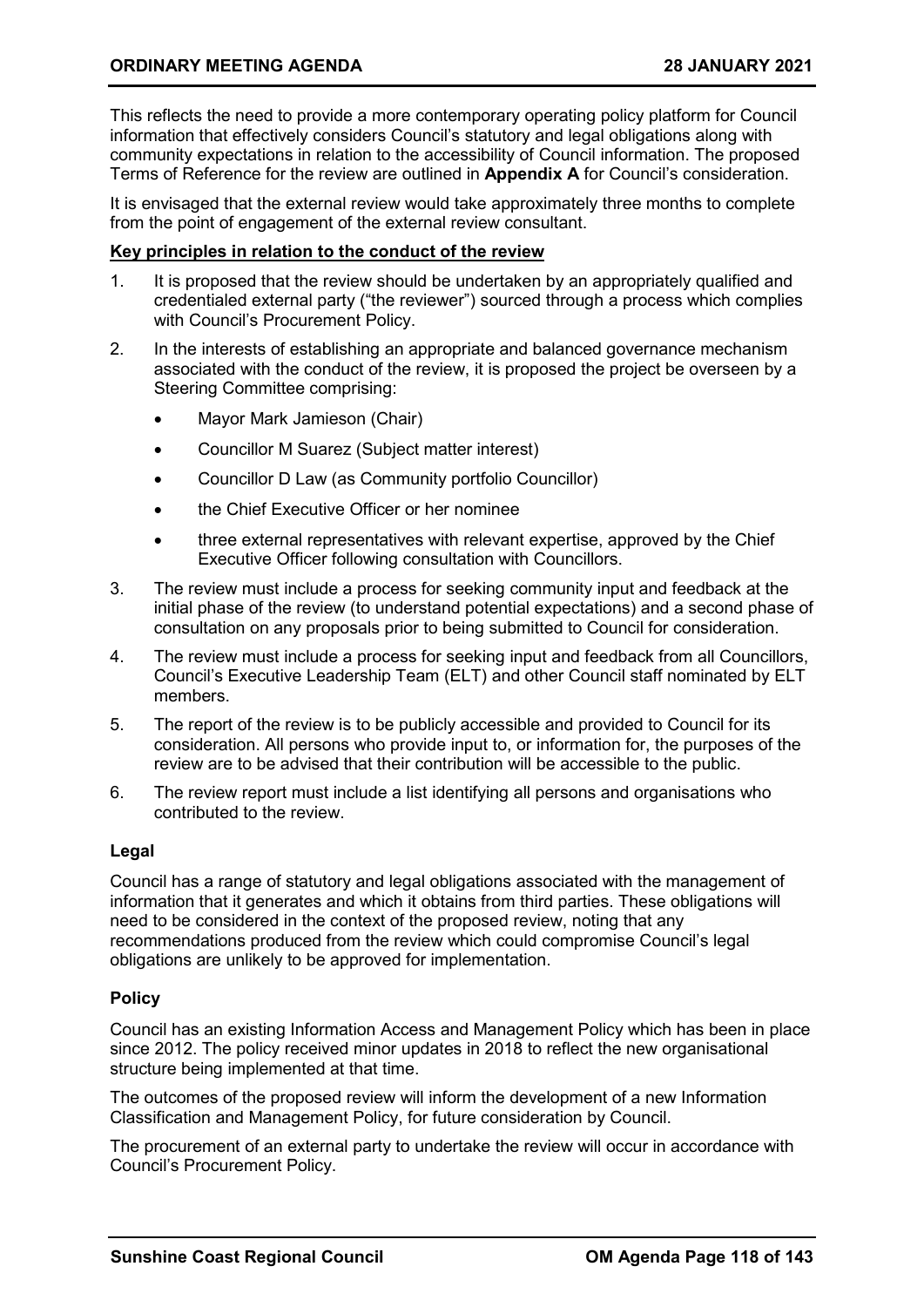This reflects the need to provide a more contemporary operating policy platform for Council information that effectively considers Council's statutory and legal obligations along with community expectations in relation to the accessibility of Council information. The proposed Terms of Reference for the review are outlined in **Appendix A** for Council's consideration.

It is envisaged that the external review would take approximately three months to complete from the point of engagement of the external review consultant.

#### **Key principles in relation to the conduct of the review**

- 1. It is proposed that the review should be undertaken by an appropriately qualified and credentialed external party ("the reviewer") sourced through a process which complies with Council's Procurement Policy.
- 2. In the interests of establishing an appropriate and balanced governance mechanism associated with the conduct of the review, it is proposed the project be overseen by a Steering Committee comprising:
	- Mayor Mark Jamieson (Chair)
	- Councillor M Suarez (Subject matter interest)
	- Councillor D Law (as Community portfolio Councillor)
	- the Chief Executive Officer or her nominee
	- three external representatives with relevant expertise, approved by the Chief Executive Officer following consultation with Councillors.
- 3. The review must include a process for seeking community input and feedback at the initial phase of the review (to understand potential expectations) and a second phase of consultation on any proposals prior to being submitted to Council for consideration.
- 4. The review must include a process for seeking input and feedback from all Councillors, Council's Executive Leadership Team (ELT) and other Council staff nominated by ELT members.
- 5. The report of the review is to be publicly accessible and provided to Council for its consideration. All persons who provide input to, or information for, the purposes of the review are to be advised that their contribution will be accessible to the public.
- 6. The review report must include a list identifying all persons and organisations who contributed to the review.

#### **Legal**

Council has a range of statutory and legal obligations associated with the management of information that it generates and which it obtains from third parties. These obligations will need to be considered in the context of the proposed review, noting that any recommendations produced from the review which could compromise Council's legal obligations are unlikely to be approved for implementation.

#### **Policy**

Council has an existing Information Access and Management Policy which has been in place since 2012. The policy received minor updates in 2018 to reflect the new organisational structure being implemented at that time.

The outcomes of the proposed review will inform the development of a new Information Classification and Management Policy, for future consideration by Council.

The procurement of an external party to undertake the review will occur in accordance with Council's Procurement Policy.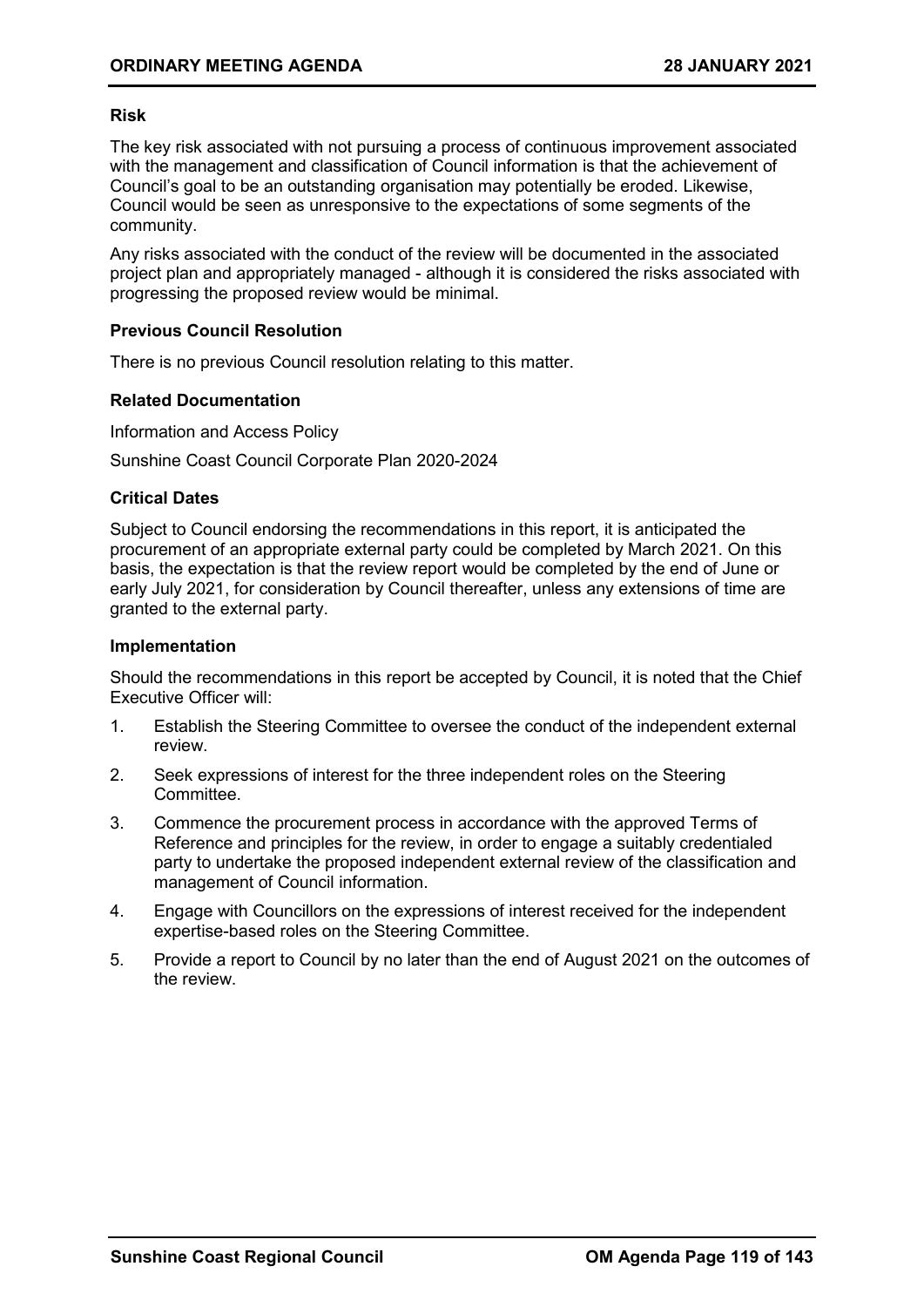#### **Risk**

The key risk associated with not pursuing a process of continuous improvement associated with the management and classification of Council information is that the achievement of Council's goal to be an outstanding organisation may potentially be eroded. Likewise, Council would be seen as unresponsive to the expectations of some segments of the community.

Any risks associated with the conduct of the review will be documented in the associated project plan and appropriately managed - although it is considered the risks associated with progressing the proposed review would be minimal.

#### **Previous Council Resolution**

There is no previous Council resolution relating to this matter.

#### **Related Documentation**

Information and Access Policy

Sunshine Coast Council Corporate Plan 2020-2024

#### **Critical Dates**

Subject to Council endorsing the recommendations in this report, it is anticipated the procurement of an appropriate external party could be completed by March 2021. On this basis, the expectation is that the review report would be completed by the end of June or early July 2021, for consideration by Council thereafter, unless any extensions of time are granted to the external party.

#### **Implementation**

Should the recommendations in this report be accepted by Council, it is noted that the Chief Executive Officer will:

- 1. Establish the Steering Committee to oversee the conduct of the independent external review.
- 2. Seek expressions of interest for the three independent roles on the Steering **Committee.**
- 3. Commence the procurement process in accordance with the approved Terms of Reference and principles for the review, in order to engage a suitably credentialed party to undertake the proposed independent external review of the classification and management of Council information.
- 4. Engage with Councillors on the expressions of interest received for the independent expertise-based roles on the Steering Committee.
- 5. Provide a report to Council by no later than the end of August 2021 on the outcomes of the review.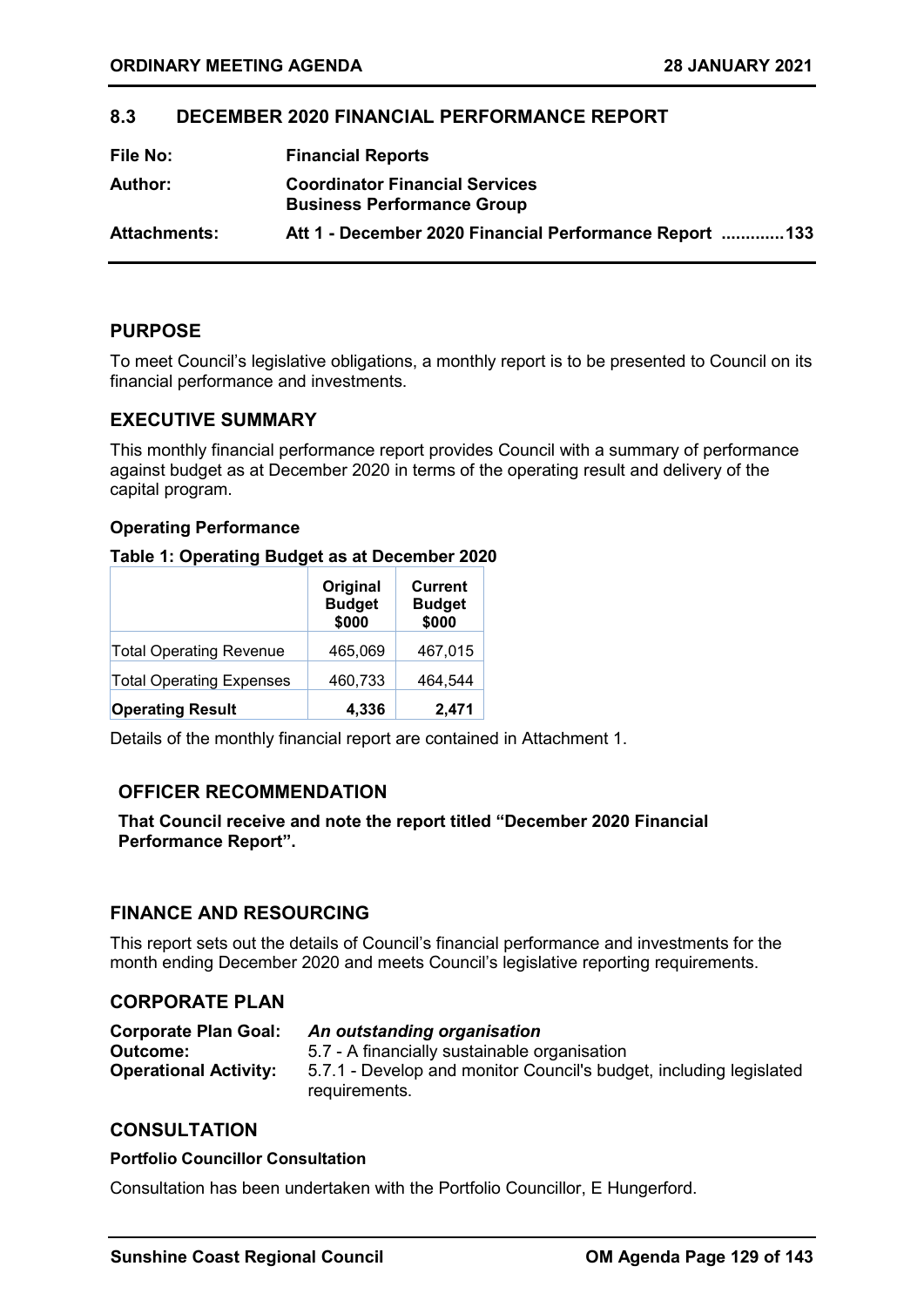#### <span id="page-28-0"></span>**8.3 DECEMBER 2020 FINANCIAL PERFORMANCE REPORT**

| File No:            | <b>Financial Reports</b>                                                   |
|---------------------|----------------------------------------------------------------------------|
| Author:             | <b>Coordinator Financial Services</b><br><b>Business Performance Group</b> |
| <b>Attachments:</b> | Att 1 - December 2020 Financial Performance Report 133                     |

#### **PURPOSE**

To meet Council's legislative obligations, a monthly report is to be presented to Council on its financial performance and investments.

#### **EXECUTIVE SUMMARY**

This monthly financial performance report provides Council with a summary of performance against budget as at December 2020 in terms of the operating result and delivery of the capital program.

#### **Operating Performance**

#### **Table 1: Operating Budget as at December 2020**

|                                 | Original<br><b>Budget</b><br>\$000 | <b>Current</b><br><b>Budget</b><br>\$000 |
|---------------------------------|------------------------------------|------------------------------------------|
| <b>Total Operating Revenue</b>  | 465,069                            | 467,015                                  |
| <b>Total Operating Expenses</b> | 460,733                            | 464,544                                  |
| <b>Operating Result</b>         | 4,336                              | 2,471                                    |

Details of the monthly financial report are contained in Attachment 1.

#### **OFFICER RECOMMENDATION**

**That Council receive and note the report titled "December 2020 Financial Performance Report".** 

#### **FINANCE AND RESOURCING**

This report sets out the details of Council's financial performance and investments for the month ending December 2020 and meets Council's legislative reporting requirements.

#### **CORPORATE PLAN**

| An outstanding organisation                                                         |
|-------------------------------------------------------------------------------------|
| 5.7 - A financially sustainable organisation                                        |
| 5.7.1 - Develop and monitor Council's budget, including legislated<br>requirements. |
|                                                                                     |

#### **CONSULTATION**

#### **Portfolio Councillor Consultation**

Consultation has been undertaken with the Portfolio Councillor, E Hungerford.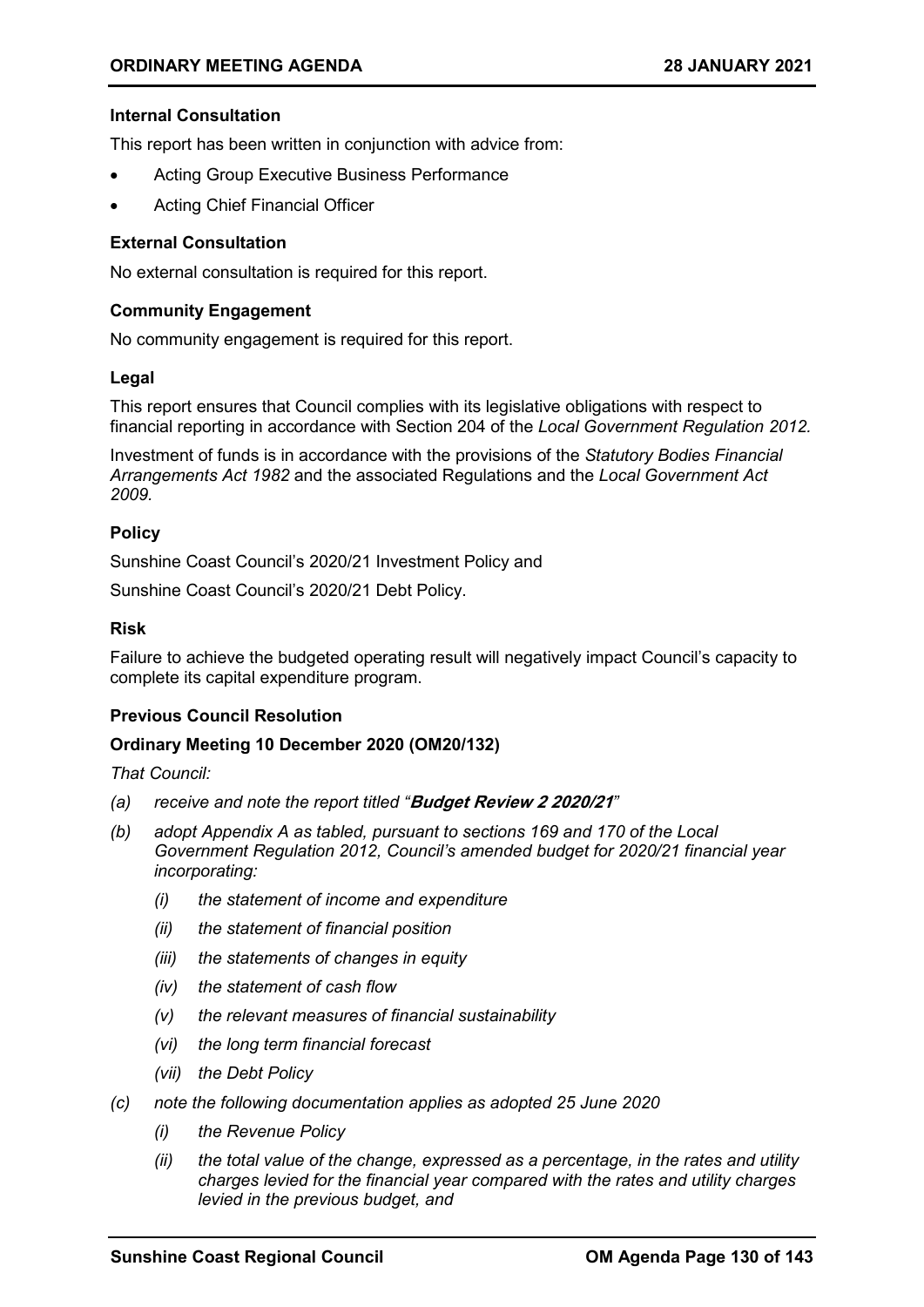#### **Internal Consultation**

This report has been written in conjunction with advice from:

- Acting Group Executive Business Performance
- Acting Chief Financial Officer

#### **External Consultation**

No external consultation is required for this report.

#### **Community Engagement**

No community engagement is required for this report.

#### **Legal**

This report ensures that Council complies with its legislative obligations with respect to financial reporting in accordance with Section 204 of the *Local Government Regulation 2012.*

Investment of funds is in accordance with the provisions of the *Statutory Bodies Financial Arrangements Act 1982* and the associated Regulations and the *Local Government Act 2009.*

#### **Policy**

Sunshine Coast Council's 2020/21 Investment Policy and

Sunshine Coast Council's 2020/21 Debt Policy.

#### **Risk**

Failure to achieve the budgeted operating result will negatively impact Council's capacity to complete its capital expenditure program.

#### **Previous Council Resolution**

#### **Ordinary Meeting 10 December 2020 (OM20/132)**

*That Council:*

- *(a) receive and note the report titled "***Budget Review 2 2020/21***"*
- *(b) adopt Appendix A as tabled, pursuant to sections 169 and 170 of the Local Government Regulation 2012, Council's amended budget for 2020/21 financial year incorporating:*
	- *(i) the statement of income and expenditure*
	- *(ii) the statement of financial position*
	- *(iii) the statements of changes in equity*
	- *(iv) the statement of cash flow*
	- *(v) the relevant measures of financial sustainability*
	- *(vi) the long term financial forecast*
	- *(vii) the Debt Policy*
- *(c) note the following documentation applies as adopted 25 June 2020*
	- *(i) the Revenue Policy*
	- *(ii) the total value of the change, expressed as a percentage, in the rates and utility charges levied for the financial year compared with the rates and utility charges levied in the previous budget, and*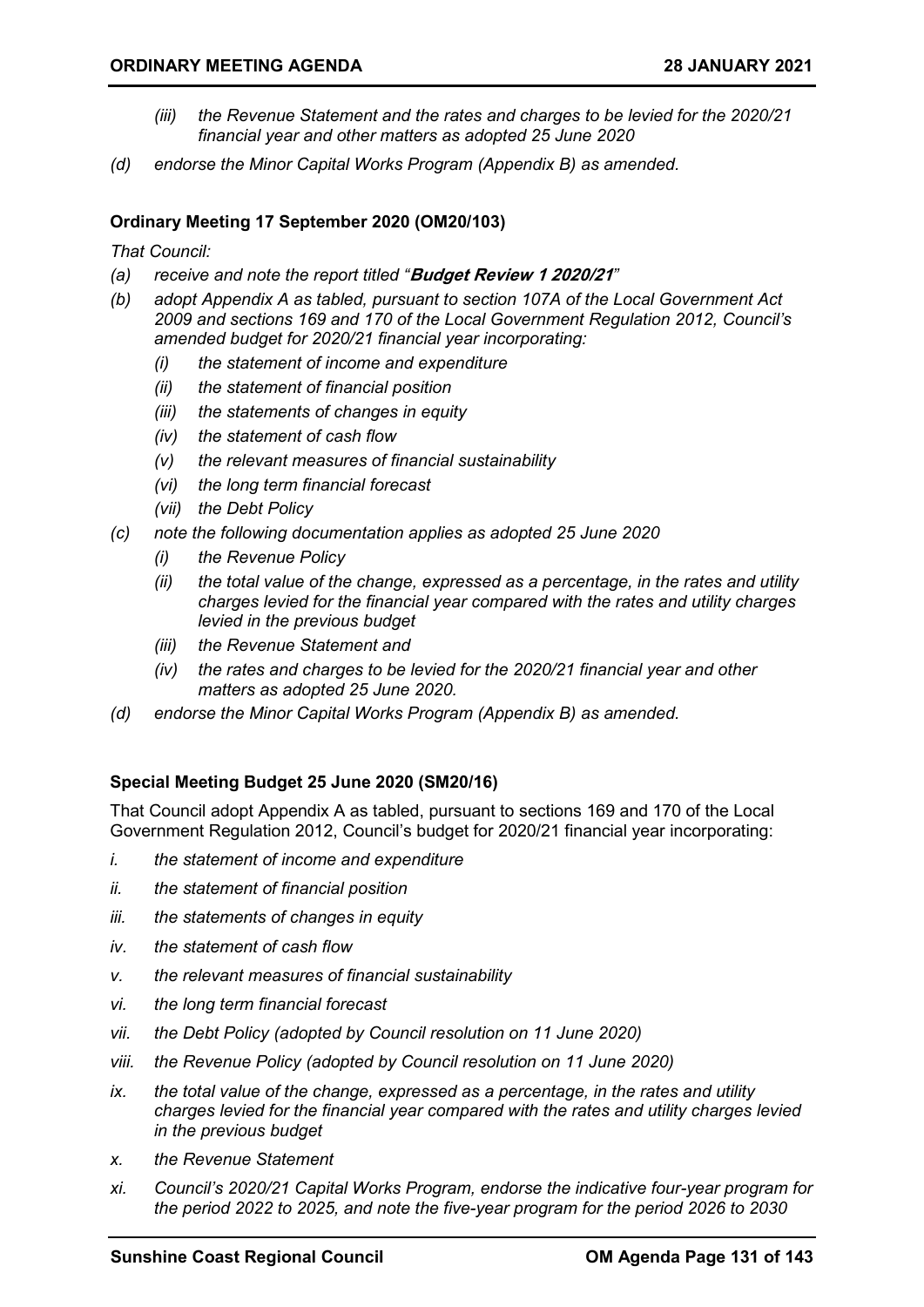- *(iii) the Revenue Statement and the rates and charges to be levied for the 2020/21 financial year and other matters as adopted 25 June 2020*
- *(d) endorse the Minor Capital Works Program (Appendix B) as amended.*

#### **Ordinary Meeting 17 September 2020 (OM20/103)**

*That Council:*

- *(a) receive and note the report titled "***Budget Review 1 2020/21***"*
- *(b) adopt Appendix A as tabled, pursuant to section 107A of the Local Government Act 2009 and sections 169 and 170 of the Local Government Regulation 2012, Council's amended budget for 2020/21 financial year incorporating:*
	- *(i) the statement of income and expenditure*
	- *(ii) the statement of financial position*
	- *(iii) the statements of changes in equity*
	- *(iv) the statement of cash flow*
	- *(v) the relevant measures of financial sustainability*
	- *(vi) the long term financial forecast*
	- *(vii) the Debt Policy*
- *(c) note the following documentation applies as adopted 25 June 2020*
	- *(i) the Revenue Policy*
	- *(ii) the total value of the change, expressed as a percentage, in the rates and utility charges levied for the financial year compared with the rates and utility charges levied in the previous budget*
	- *(iii) the Revenue Statement and*
	- *(iv) the rates and charges to be levied for the 2020/21 financial year and other matters as adopted 25 June 2020.*
- *(d) endorse the Minor Capital Works Program (Appendix B) as amended.*

#### **Special Meeting Budget 25 June 2020 (SM20/16)**

That Council adopt Appendix A as tabled, pursuant to sections 169 and 170 of the Local Government Regulation 2012, Council's budget for 2020/21 financial year incorporating:

- *i. the statement of income and expenditure*
- *ii. the statement of financial position*
- *iii. the statements of changes in equity*
- *iv. the statement of cash flow*
- *v. the relevant measures of financial sustainability*
- *vi. the long term financial forecast*
- *vii. the Debt Policy (adopted by Council resolution on 11 June 2020)*
- *viii. the Revenue Policy (adopted by Council resolution on 11 June 2020)*
- *ix. the total value of the change, expressed as a percentage, in the rates and utility charges levied for the financial year compared with the rates and utility charges levied in the previous budget*
- *x. the Revenue Statement*
- *xi. Council's 2020/21 Capital Works Program, endorse the indicative four-year program for the period 2022 to 2025, and note the five-year program for the period 2026 to 2030*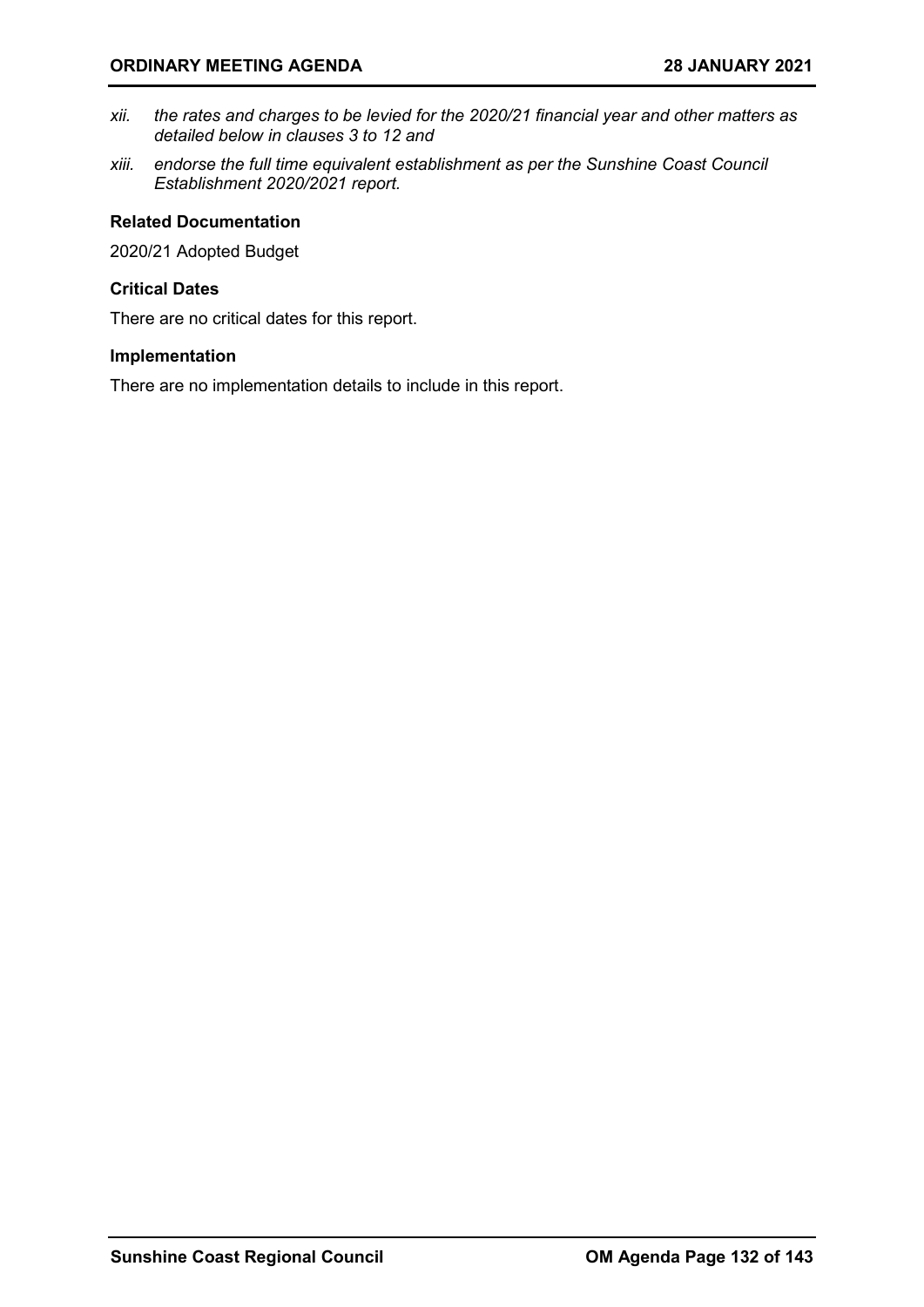- *xii. the rates and charges to be levied for the 2020/21 financial year and other matters as detailed below in clauses 3 to 12 and*
- *xiii. endorse the full time equivalent establishment as per the Sunshine Coast Council Establishment 2020/2021 report.*

#### **Related Documentation**

2020/21 Adopted Budget

#### **Critical Dates**

There are no critical dates for this report.

#### **Implementation**

There are no implementation details to include in this report.